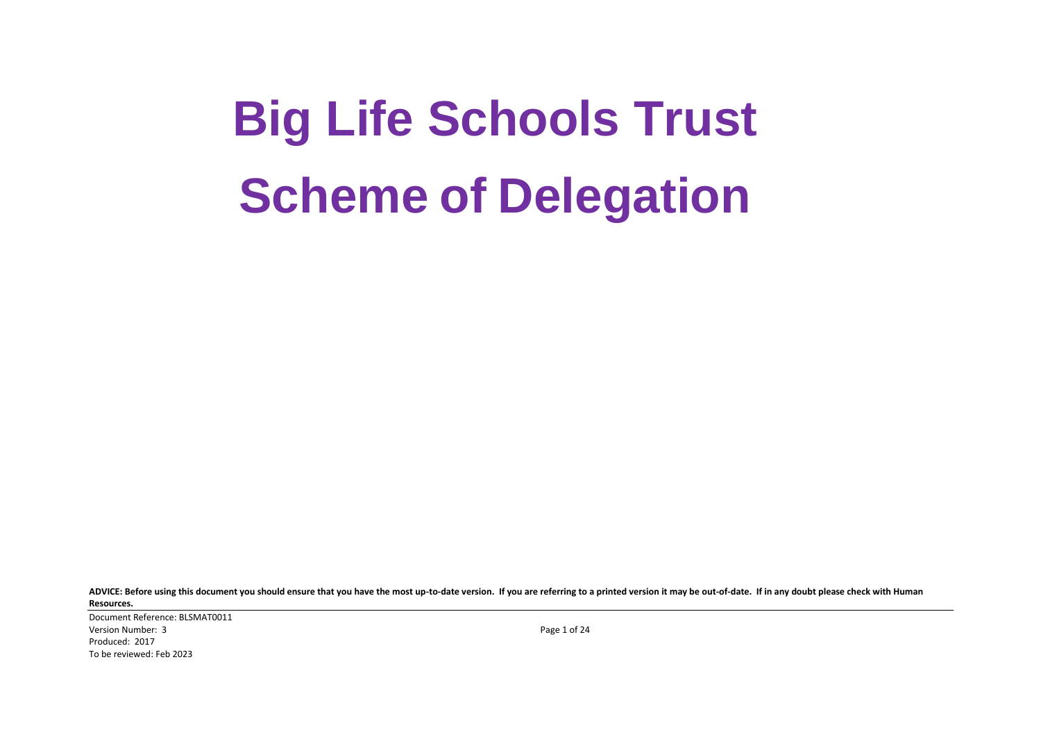# **Big Life Schools Trust Scheme of Delegation**

**ADVICE: Before using this document you should ensure that you have the most up-to-date version. If you are referring to a printed version it may be out-of-date. If in any doubt please check with Human Resources.**

Document Reference: BLSMAT0011 Version Number: 3 Page 1 of 24 Produced: 2017 To be reviewed: Feb 2023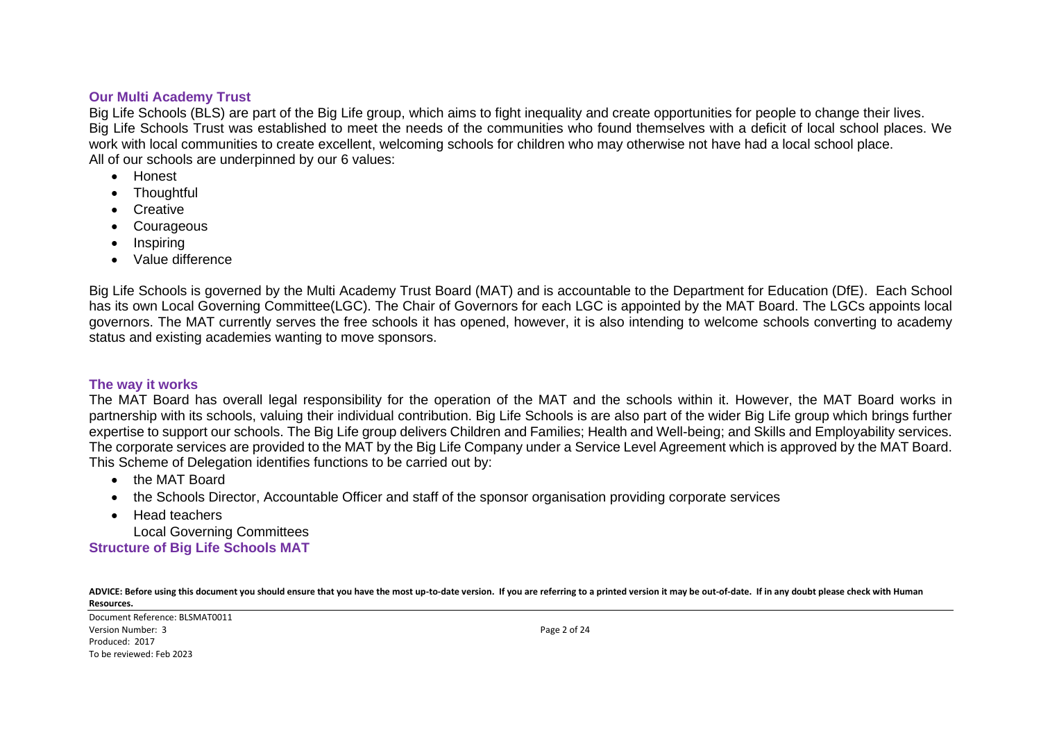#### **Our Multi Academy Trust**

Big Life Schools (BLS) are part of the Big Life group, which aims to fight inequality and create opportunities for people to change their lives. Big Life Schools Trust was established to meet the needs of the communities who found themselves with a deficit of local school places. We work with local communities to create excellent, welcoming schools for children who may otherwise not have had a local school place. All of our schools are underpinned by our 6 values:

- Honest
- Thoughtful
- Creative
- Courageous
- Inspiring
- Value difference

Big Life Schools is governed by the Multi Academy Trust Board (MAT) and is accountable to the Department for Education (DfE). Each School has its own Local Governing Committee(LGC). The Chair of Governors for each LGC is appointed by the MAT Board. The LGCs appoints local governors. The MAT currently serves the free schools it has opened, however, it is also intending to welcome schools converting to academy status and existing academies wanting to move sponsors.

#### **The way it works**

The MAT Board has overall legal responsibility for the operation of the MAT and the schools within it. However, the MAT Board works in partnership with its schools, valuing their individual contribution. Big Life Schools is are also part of the wider Big Life group which brings further expertise to support our schools. The Big Life group delivers Children and Families; Health and Well-being; and Skills and Employability services. The corporate services are provided to the MAT by the Big Life Company under a Service Level Agreement which is approved by the MAT Board. This Scheme of Delegation identifies functions to be carried out by:

- the MAT Board
- the Schools Director, Accountable Officer and staff of the sponsor organisation providing corporate services
- Head teachers

Local Governing Committees **Structure of Big Life Schools MAT**

**ADVICE: Before using this document you should ensure that you have the most up-to-date version. If you are referring to a printed version it may be out-of-date. If in any doubt please check with Human Resources.**

Document Reference: BLSMAT0011 Version Number: 3 Page 2 of 24 Produced: 2017 To be reviewed: Feb 2023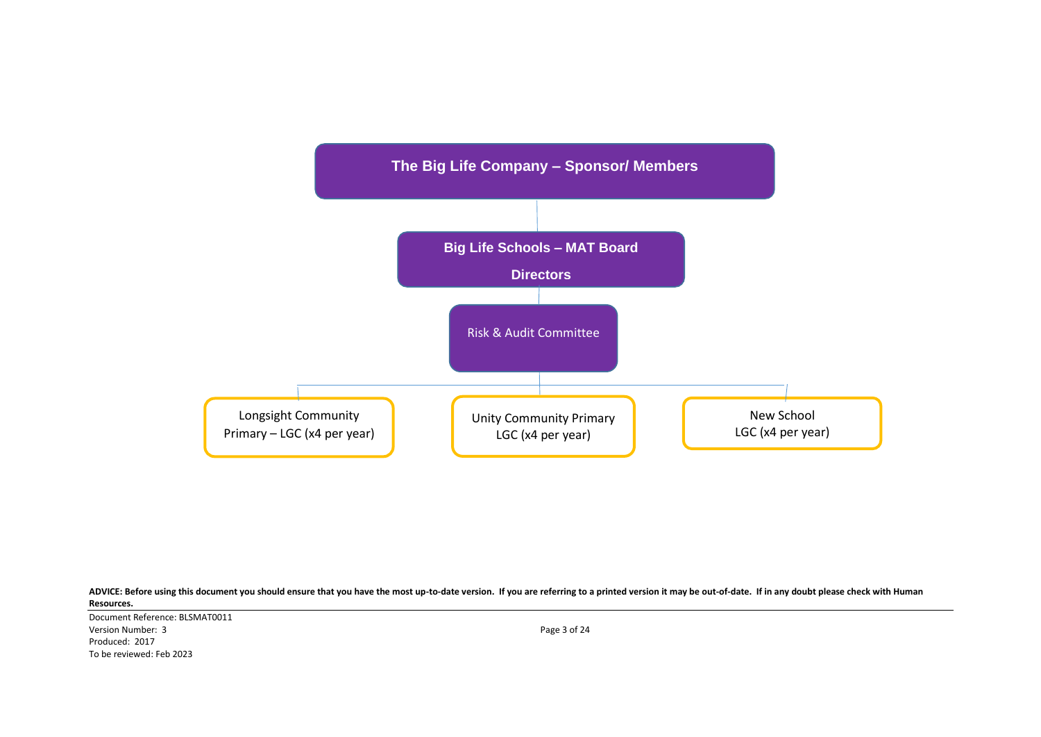

Document Reference: BLSMAT0011 Version Number: 3 Page 3 of 24 Produced: 2017 To be reviewed: Feb 2023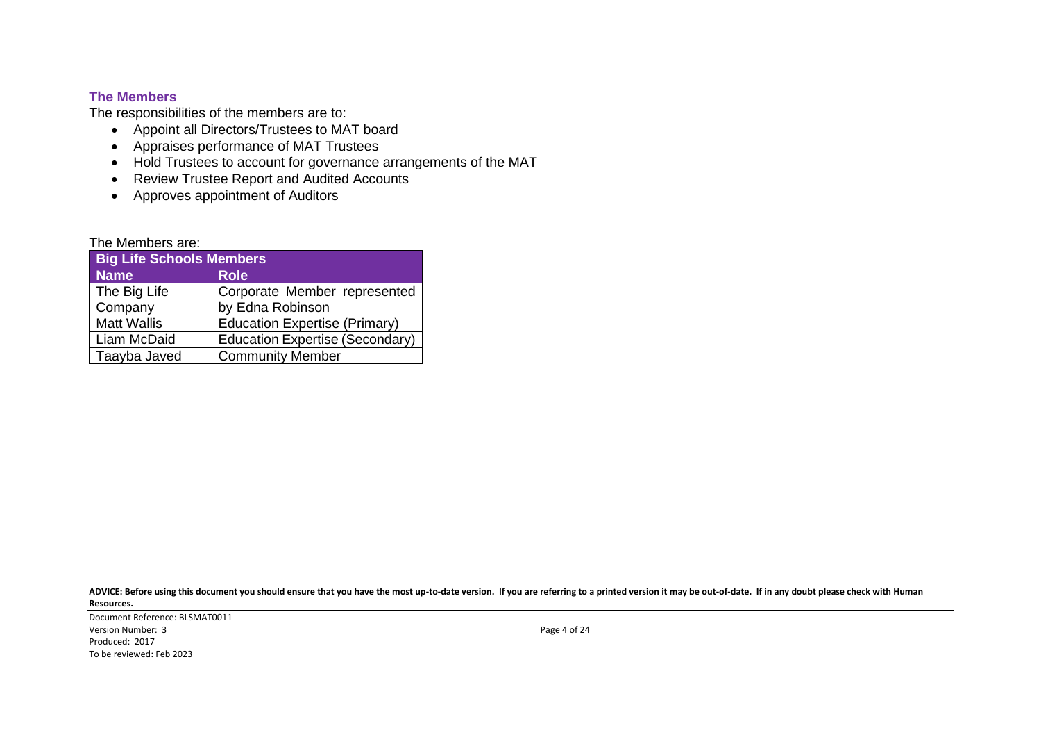# **The Members**

The responsibilities of the members are to:

- Appoint all Directors/Trustees to MAT board
- Appraises performance of MAT Trustees
- Hold Trustees to account for governance arrangements of the MAT
- Review Trustee Report and Audited Accounts
- Approves appointment of Auditors

| The Members are:             |  |  |
|------------------------------|--|--|
| <b>INSTRUCTION CONTINUES</b> |  |  |

| <b>Big Life Schools Members</b> |                                      |  |  |  |
|---------------------------------|--------------------------------------|--|--|--|
| <b>Name</b>                     | <b>Role</b>                          |  |  |  |
| The Big Life                    | Corporate Member represented         |  |  |  |
| Company                         | by Edna Robinson                     |  |  |  |
| <b>Matt Wallis</b>              | <b>Education Expertise (Primary)</b> |  |  |  |
| Liam McDaid                     | Education Expertise (Secondary)      |  |  |  |
| Taayba Javed                    | <b>Community Member</b>              |  |  |  |

**ADVICE: Before using this document you should ensure that you have the most up-to-date version. If you are referring to a printed version it may be out-of-date. If in any doubt please check with Human Resources.**

Document Reference: BLSMAT0011 Version Number: 3 Page 4 of 24 Produced: 2017 To be reviewed: Feb 2023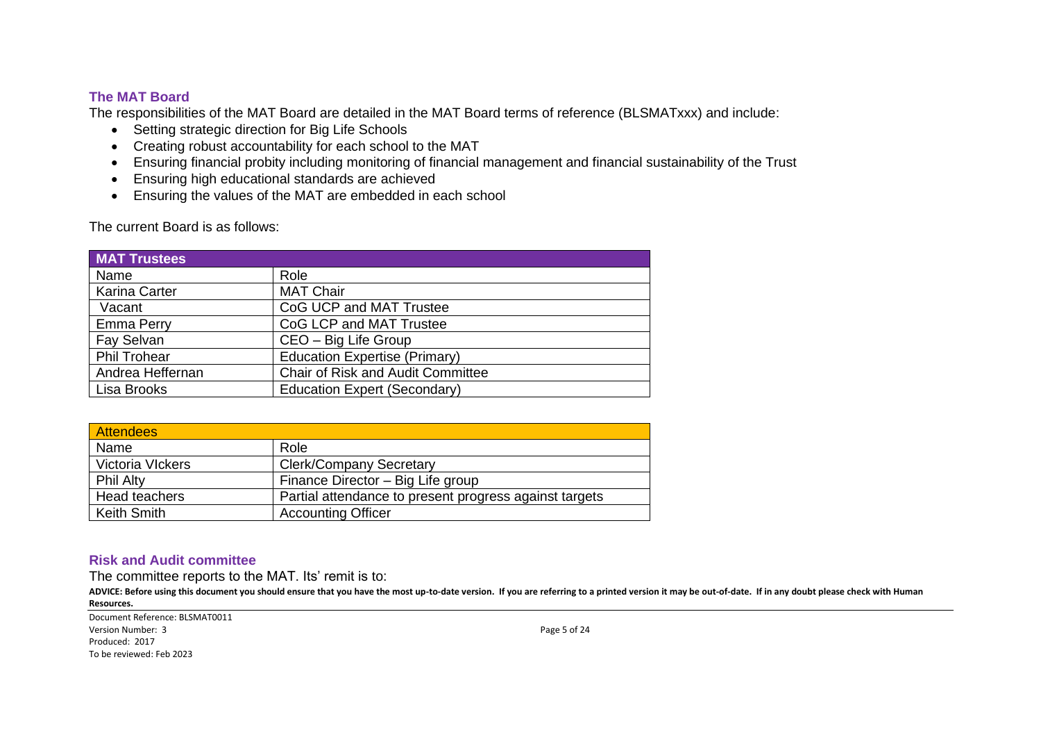## **The MAT Board**

The responsibilities of the MAT Board are detailed in the MAT Board terms of reference (BLSMATxxx) and include:

- Setting strategic direction for Big Life Schools
- Creating robust accountability for each school to the MAT
- Ensuring financial probity including monitoring of financial management and financial sustainability of the Trust
- Ensuring high educational standards are achieved
- Ensuring the values of the MAT are embedded in each school

The current Board is as follows:

| <b>MAT Trustees</b>  |                                          |
|----------------------|------------------------------------------|
| Name                 | Role                                     |
| <b>Karina Carter</b> | <b>MAT Chair</b>                         |
| Vacant               | CoG UCP and MAT Trustee                  |
| <b>Emma Perry</b>    | CoG LCP and MAT Trustee                  |
| Fay Selvan           | CEO - Big Life Group                     |
| <b>Phil Trohear</b>  | <b>Education Expertise (Primary)</b>     |
| Andrea Heffernan     | <b>Chair of Risk and Audit Committee</b> |
| Lisa Brooks          | <b>Education Expert (Secondary)</b>      |

| <b>Attendees</b>   |                                                        |
|--------------------|--------------------------------------------------------|
| Name               | Role                                                   |
| Victoria VIckers   | <b>Clerk/Company Secretary</b>                         |
| <b>Phil Alty</b>   | Finance Director - Big Life group                      |
| Head teachers      | Partial attendance to present progress against targets |
| <b>Keith Smith</b> | <b>Accounting Officer</b>                              |

## **Risk and Audit committee**

The committee reports to the MAT. Its' remit is to:

ADVICE: Before using this document you should ensure that you have the most up-to-date version. If you are referring to a printed version it may be out-of-date. If in any doubt please check with Human **Resources.**

Document Reference: BLSMAT0011 Version Number: 3 Page 5 of 24 Produced: 2017 To be reviewed: Feb 2023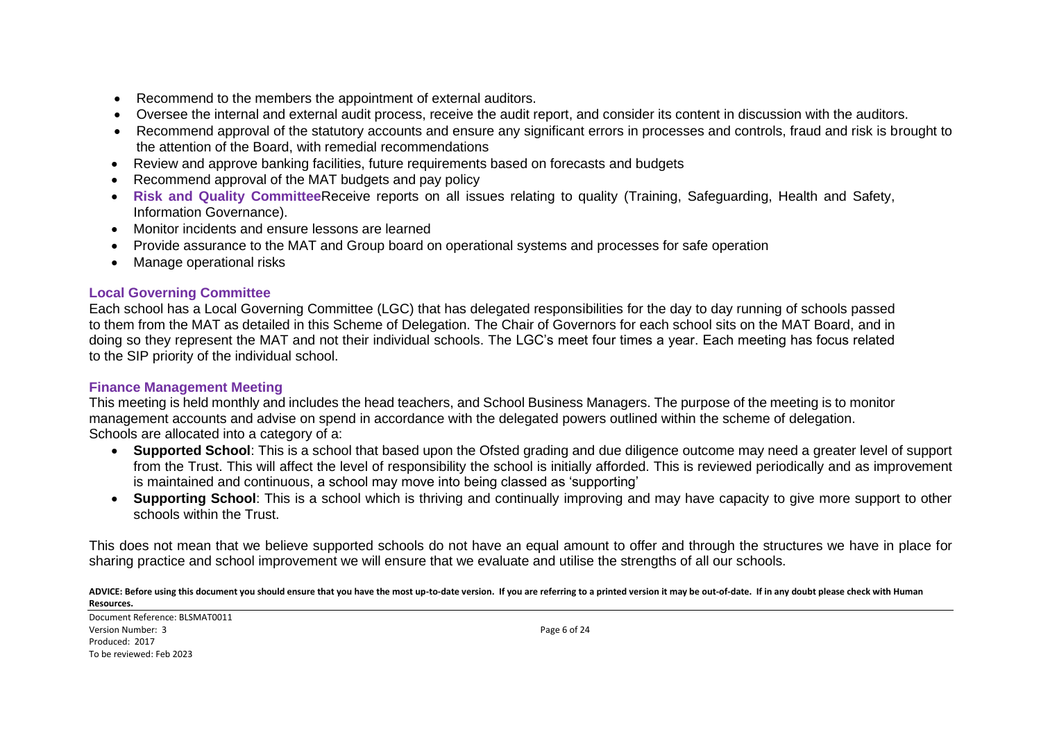- Recommend to the members the appointment of external auditors.
- Oversee the internal and external audit process, receive the audit report, and consider its content in discussion with the auditors.
- Recommend approval of the statutory accounts and ensure any significant errors in processes and controls, fraud and risk is brought to the attention of the Board, with remedial recommendations
- Review and approve banking facilities, future requirements based on forecasts and budgets
- Recommend approval of the MAT budgets and pay policy
- **Risk and Quality Committee**Receive reports on all issues relating to quality (Training, Safeguarding, Health and Safety, Information Governance).
- Monitor incidents and ensure lessons are learned
- Provide assurance to the MAT and Group board on operational systems and processes for safe operation
- Manage operational risks

# **Local Governing Committee**

Each school has a Local Governing Committee (LGC) that has delegated responsibilities for the day to day running of schools passed to them from the MAT as detailed in this Scheme of Delegation. The Chair of Governors for each school sits on the MAT Board, and in doing so they represent the MAT and not their individual schools. The LGC's meet four times a year. Each meeting has focus related to the SIP priority of the individual school.

# **Finance Management Meeting**

This meeting is held monthly and includes the head teachers, and School Business Managers. The purpose of the meeting is to monitor management accounts and advise on spend in accordance with the delegated powers outlined within the scheme of delegation. Schools are allocated into a category of a:

- **Supported School**: This is a school that based upon the Ofsted grading and due diligence outcome may need a greater level of support from the Trust. This will affect the level of responsibility the school is initially afforded. This is reviewed periodically and as improvement is maintained and continuous, a school may move into being classed as 'supporting'
- **Supporting School**: This is a school which is thriving and continually improving and may have capacity to give more support to other schools within the Trust.

This does not mean that we believe supported schools do not have an equal amount to offer and through the structures we have in place for sharing practice and school improvement we will ensure that we evaluate and utilise the strengths of all our schools.

ADVICE: Before using this document you should ensure that you have the most up-to-date version. If you are referring to a printed version it may be out-of-date. If in any doubt please check with Human **Resources.**

Document Reference: BLSMAT0011 Version Number: 3 Page 6 of 24 Produced: 2017 To be reviewed: Feb 2023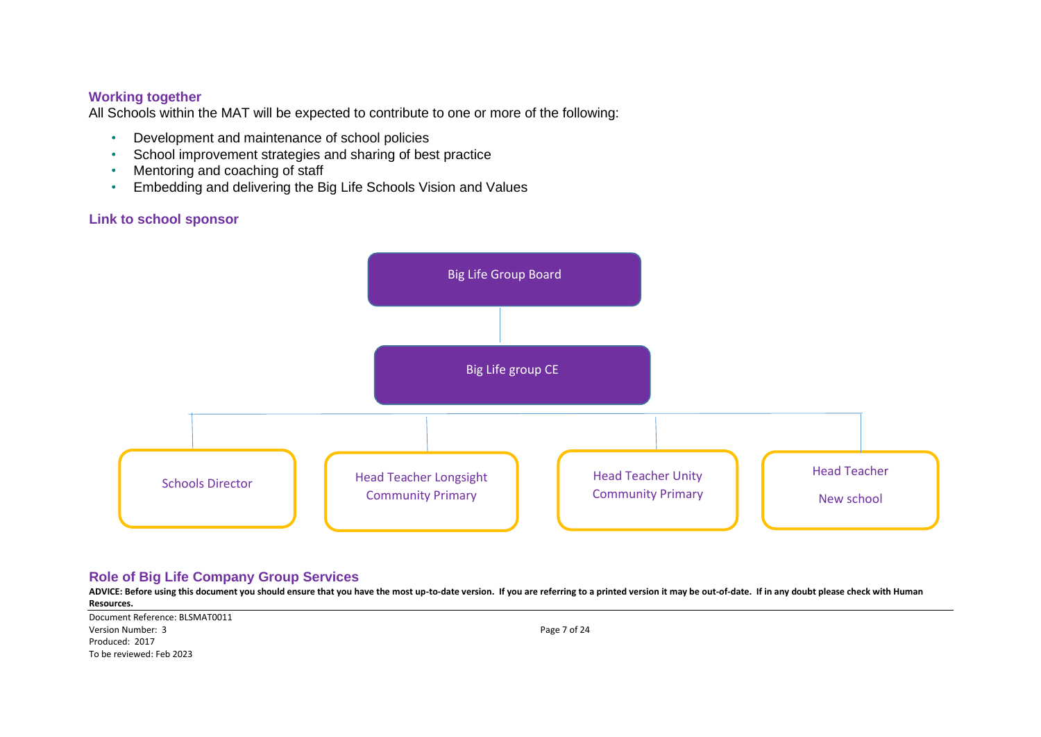### **Working together**

All Schools within the MAT will be expected to contribute to one or more of the following:

- Development and maintenance of school policies
- School improvement strategies and sharing of best practice
- Mentoring and coaching of staff
- Embedding and delivering the Big Life Schools Vision and Values

# **Link to school sponsor**



# **Role of Big Life Company Group Services**

**ADVICE: Before using this document you should ensure that you have the most up-to-date version. If you are referring to a printed version it may be out-of-date. If in any doubt please check with Human Resources.**

Document Reference: BLSMAT0011 Version Number: 3 Page 7 of 24 Produced: 2017 To be reviewed: Feb 2023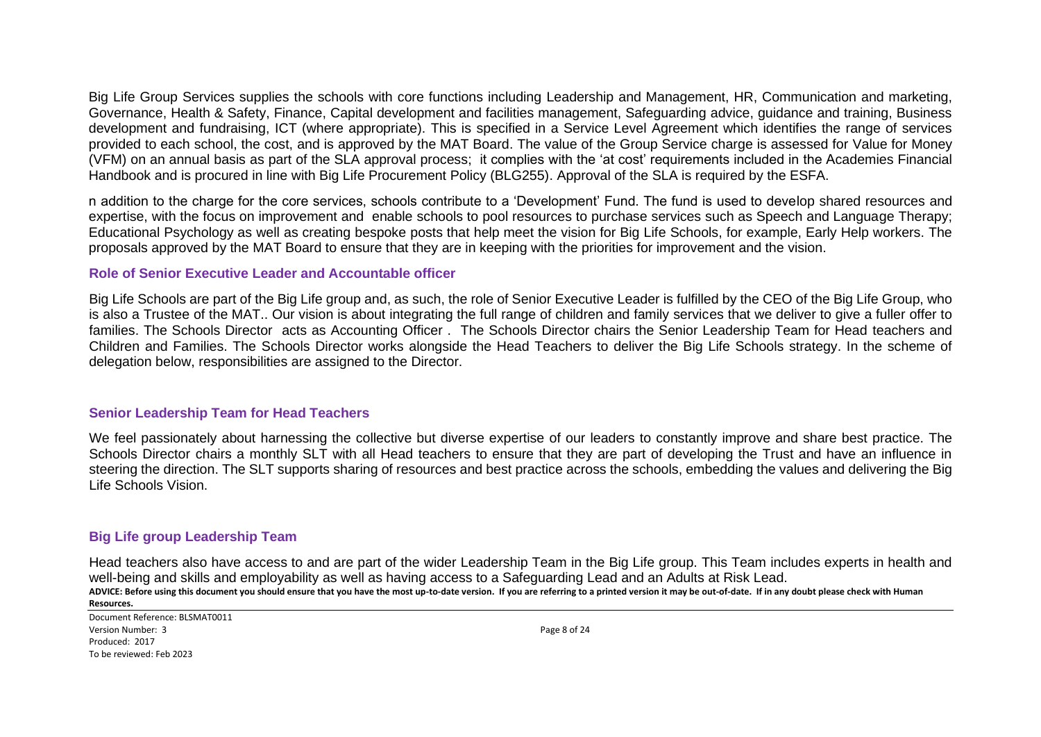Big Life Group Services supplies the schools with core functions including Leadership and Management, HR, Communication and marketing, Governance, Health & Safety, Finance, Capital development and facilities management, Safeguarding advice, guidance and training, Business development and fundraising, ICT (where appropriate). This is specified in a Service Level Agreement which identifies the range of services provided to each school, the cost, and is approved by the MAT Board. The value of the Group Service charge is assessed for Value for Money (VFM) on an annual basis as part of the SLA approval process; it complies with the 'at cost' requirements included in the Academies Financial Handbook and is procured in line with Big Life Procurement Policy (BLG255). Approval of the SLA is required by the ESFA.

n addition to the charge for the core services, schools contribute to a 'Development' Fund. The fund is used to develop shared resources and expertise, with the focus on improvement and enable schools to pool resources to purchase services such as Speech and Language Therapy; Educational Psychology as well as creating bespoke posts that help meet the vision for Big Life Schools, for example, Early Help workers. The proposals approved by the MAT Board to ensure that they are in keeping with the priorities for improvement and the vision.

#### **Role of Senior Executive Leader and Accountable officer**

Big Life Schools are part of the Big Life group and, as such, the role of Senior Executive Leader is fulfilled by the CEO of the Big Life Group, who is also a Trustee of the MAT.. Our vision is about integrating the full range of children and family services that we deliver to give a fuller offer to families. The Schools Director acts as Accounting Officer . The Schools Director chairs the Senior Leadership Team for Head teachers and Children and Families. The Schools Director works alongside the Head Teachers to deliver the Big Life Schools strategy. In the scheme of delegation below, responsibilities are assigned to the Director.

#### **Senior Leadership Team for Head Teachers**

We feel passionately about harnessing the collective but diverse expertise of our leaders to constantly improve and share best practice. The Schools Director chairs a monthly SLT with all Head teachers to ensure that they are part of developing the Trust and have an influence in steering the direction. The SLT supports sharing of resources and best practice across the schools, embedding the values and delivering the Big Life Schools Vision.

# **Big Life group Leadership Team**

**ADVICE: Before using this document you should ensure that you have the most up-to-date version. If you are referring to a printed version it may be out-of-date. If in any doubt please check with Human Resources.** Head teachers also have access to and are part of the wider Leadership Team in the Big Life group. This Team includes experts in health and well-being and skills and employability as well as having access to a Safeguarding Lead and an Adults at Risk Lead.

Document Reference: BLSMAT0011 Version Number: 3 Page 8 of 24 Produced: 2017 To be reviewed: Feb 2023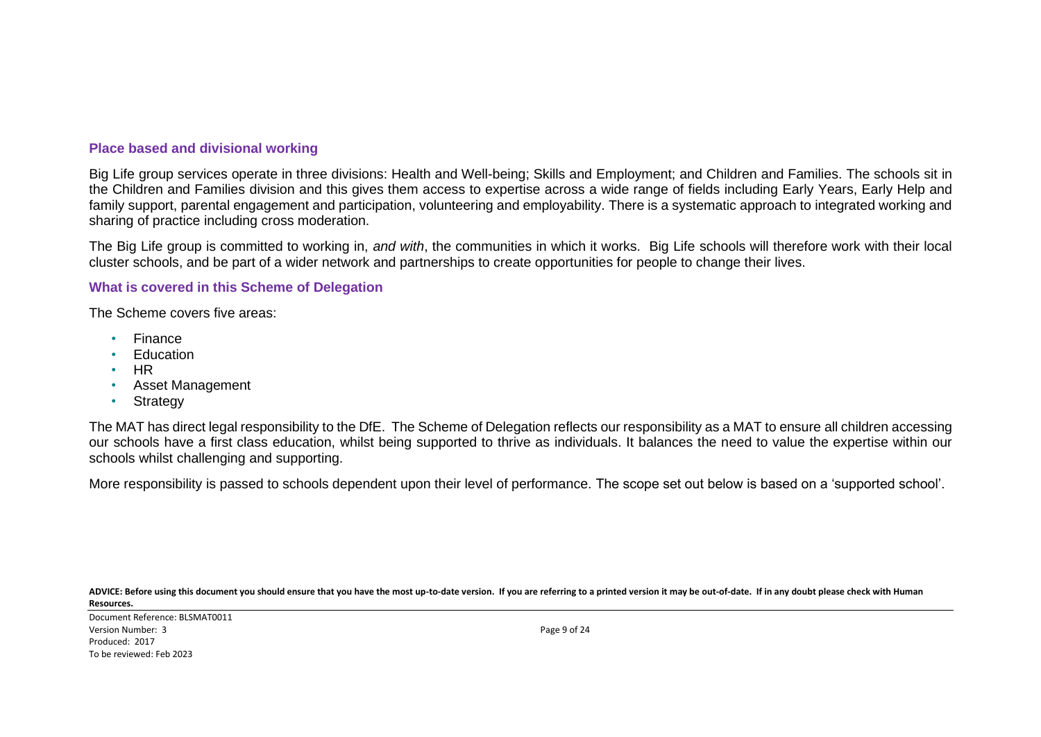## **Place based and divisional working**

Big Life group services operate in three divisions: Health and Well-being; Skills and Employment; and Children and Families. The schools sit in the Children and Families division and this gives them access to expertise across a wide range of fields including Early Years, Early Help and family support, parental engagement and participation, volunteering and employability. There is a systematic approach to integrated working and sharing of practice including cross moderation.

The Big Life group is committed to working in, *and with*, the communities in which it works. Big Life schools will therefore work with their local cluster schools, and be part of a wider network and partnerships to create opportunities for people to change their lives.

#### **What is covered in this Scheme of Delegation**

The Scheme covers five areas:

- Finance
- **Education**
- HR
- Asset Management
- Strategy

The MAT has direct legal responsibility to the DfE. The Scheme of Delegation reflects our responsibility as a MAT to ensure all children accessing our schools have a first class education, whilst being supported to thrive as individuals. It balances the need to value the expertise within our schools whilst challenging and supporting.

More responsibility is passed to schools dependent upon their level of performance. The scope set out below is based on a 'supported school'.

**ADVICE: Before using this document you should ensure that you have the most up-to-date version. If you are referring to a printed version it may be out-of-date. If in any doubt please check with Human Resources.**

Document Reference: BLSMAT0011 Version Number: 3 Page 9 of 24 Produced: 2017 To be reviewed: Feb 2023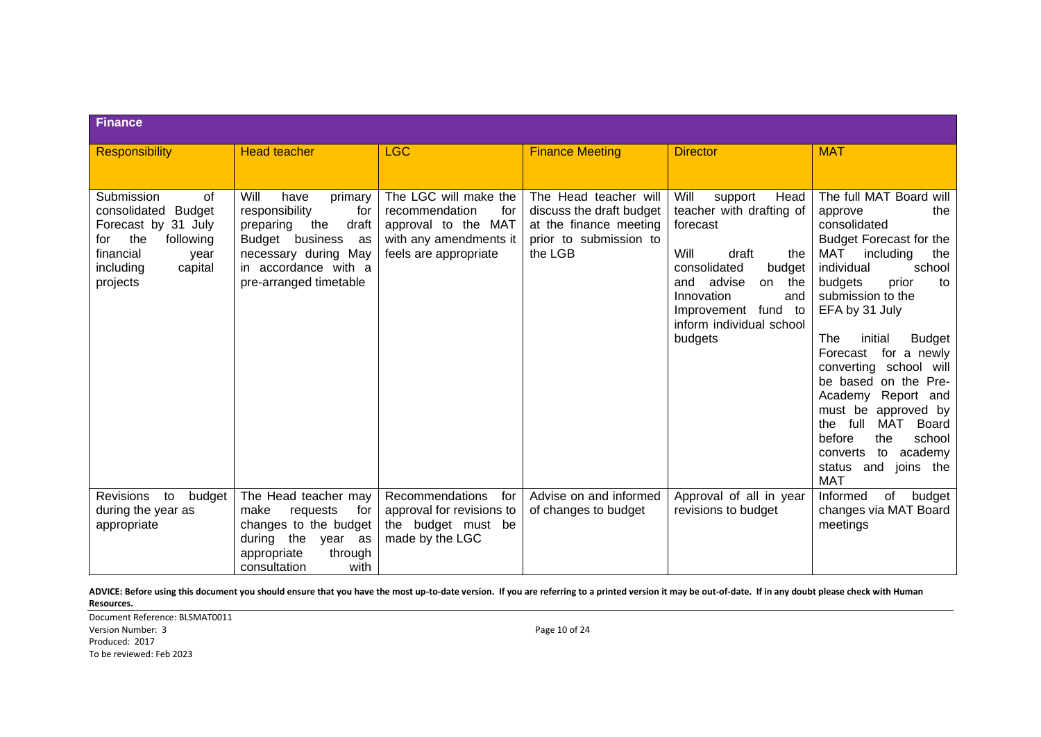| <b>Finance</b>                                                                                                                                               |                                                                                                                                                                                  |                                                                                                                          |                                                                                                                  |                                                                                                                                                                                                                                    |                                                                                                                                                                                                                                                                                                                                                                                                                                                                                                             |
|--------------------------------------------------------------------------------------------------------------------------------------------------------------|----------------------------------------------------------------------------------------------------------------------------------------------------------------------------------|--------------------------------------------------------------------------------------------------------------------------|------------------------------------------------------------------------------------------------------------------|------------------------------------------------------------------------------------------------------------------------------------------------------------------------------------------------------------------------------------|-------------------------------------------------------------------------------------------------------------------------------------------------------------------------------------------------------------------------------------------------------------------------------------------------------------------------------------------------------------------------------------------------------------------------------------------------------------------------------------------------------------|
| <b>Responsibility</b>                                                                                                                                        | <b>Head teacher</b>                                                                                                                                                              | <b>LGC</b>                                                                                                               | <b>Finance Meeting</b>                                                                                           | <b>Director</b>                                                                                                                                                                                                                    | <b>MAT</b>                                                                                                                                                                                                                                                                                                                                                                                                                                                                                                  |
|                                                                                                                                                              |                                                                                                                                                                                  |                                                                                                                          |                                                                                                                  |                                                                                                                                                                                                                                    |                                                                                                                                                                                                                                                                                                                                                                                                                                                                                                             |
| Submission<br>0f<br>consolidated<br><b>Budget</b><br>Forecast by 31 July<br>the<br>following<br>for<br>financial<br>year<br>including<br>capital<br>projects | Will<br>have<br>primary<br>responsibility<br>for<br>draft<br>preparing<br>the<br>Budget business<br>as<br>necessary during May<br>in accordance with a<br>pre-arranged timetable | The LGC will make the<br>recommendation<br>for<br>approval to the MAT<br>with any amendments it<br>feels are appropriate | The Head teacher will<br>discuss the draft budget<br>at the finance meeting<br>prior to submission to<br>the LGB | Will<br>Head<br>support<br>teacher with drafting of<br>forecast<br>Will<br>draft<br>the<br>consolidated<br>budget<br>advise<br>and<br>on<br>the<br>Innovation<br>and<br>Improvement fund to<br>inform individual school<br>budgets | The full MAT Board will<br>approve<br>the<br>consolidated<br>Budget Forecast for the<br>MAT<br>including<br>the<br>individual<br>school<br>prior<br>budgets<br>to<br>submission to the<br>EFA by 31 July<br>The<br>initial<br><b>Budget</b><br>for a newly<br>Forecast<br>converting school will<br>be based on the Pre-<br>Academy Report and<br>must be<br>approved by<br>Board<br>full<br>MAT<br>the<br>before<br>school<br>the<br>academy<br>to<br>converts<br>status<br>and<br>joins the<br><b>MAT</b> |
| Revisions<br>to<br>budget                                                                                                                                    | The Head teacher may<br>make                                                                                                                                                     | Recommendations<br>for                                                                                                   | Advise on and informed                                                                                           | Approval of all in year                                                                                                                                                                                                            | Informed<br>of<br>budget                                                                                                                                                                                                                                                                                                                                                                                                                                                                                    |
| during the year as<br>appropriate                                                                                                                            | requests<br>for<br>changes to the budget<br>during the<br>year as<br>through<br>appropriate<br>with<br>consultation                                                              | approval for revisions to<br>the budget must be<br>made by the LGC                                                       | of changes to budget                                                                                             | revisions to budget                                                                                                                                                                                                                | changes via MAT Board<br>meetings                                                                                                                                                                                                                                                                                                                                                                                                                                                                           |

Document Reference: BLSMAT0011 Version Number: 3 Page 10 of 24 Produced: 2017 To be reviewed: Feb 2023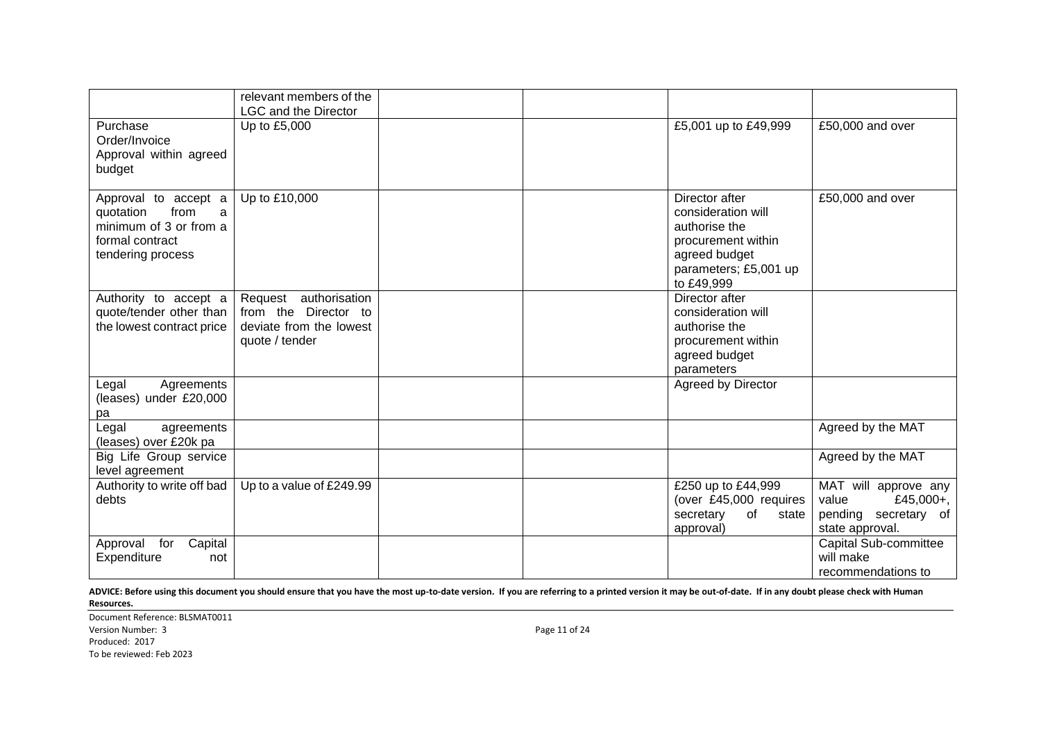|                                                                                                                  | relevant members of the<br><b>LGC and the Director</b>                                        |  |                                                                                                                                     |                                                                                       |
|------------------------------------------------------------------------------------------------------------------|-----------------------------------------------------------------------------------------------|--|-------------------------------------------------------------------------------------------------------------------------------------|---------------------------------------------------------------------------------------|
| Purchase<br>Order/Invoice<br>Approval within agreed<br>budget                                                    | Up to £5,000                                                                                  |  | £5,001 up to £49,999                                                                                                                | £50,000 and over                                                                      |
| Approval to accept a<br>quotation<br>from<br>a<br>minimum of 3 or from a<br>formal contract<br>tendering process | Up to £10,000                                                                                 |  | Director after<br>consideration will<br>authorise the<br>procurement within<br>agreed budget<br>parameters; £5,001 up<br>to £49,999 | £50,000 and over                                                                      |
| Authority to accept a<br>quote/tender other than<br>the lowest contract price                                    | Request authorisation<br>from the<br>Director to<br>deviate from the lowest<br>quote / tender |  | Director after<br>consideration will<br>authorise the<br>procurement within<br>agreed budget<br>parameters                          |                                                                                       |
| Agreements<br>Legal<br>(leases) under £20,000<br>pa                                                              |                                                                                               |  | Agreed by Director                                                                                                                  |                                                                                       |
| Legal<br>agreements<br>(leases) over £20k pa                                                                     |                                                                                               |  |                                                                                                                                     | Agreed by the MAT                                                                     |
| Big Life Group service<br>level agreement                                                                        |                                                                                               |  |                                                                                                                                     | Agreed by the MAT                                                                     |
| Authority to write off bad<br>debts                                                                              | Up to a value of £249.99                                                                      |  | £250 up to £44,999<br>(over £45,000 requires<br>secretary<br>of<br>state<br>approval)                                               | MAT will approve any<br>£45,000+,<br>value<br>pending secretary of<br>state approval. |
| Capital<br>Approval for<br>Expenditure<br>not                                                                    |                                                                                               |  |                                                                                                                                     | Capital Sub-committee<br>will make<br>recommendations to                              |

Document Reference: BLSMAT0011 Version Number: 3 Page 11 of 24 Produced: 2017 To be reviewed: Feb 2023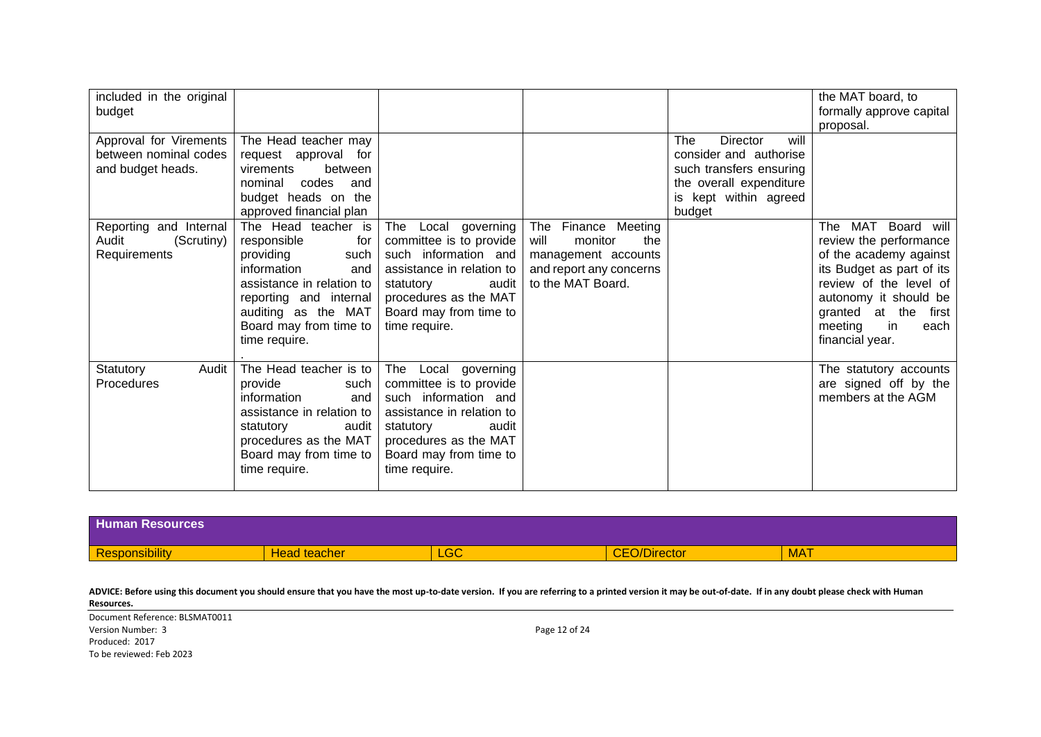| included in the original<br>budget                                   |                                                                                                                                                                                                               |                                                                                                                                                                                               |                                                                                                                         |                                                                                                                                            | the MAT board, to<br>formally approve capital<br>proposal.                                                                                                                                                                                    |
|----------------------------------------------------------------------|---------------------------------------------------------------------------------------------------------------------------------------------------------------------------------------------------------------|-----------------------------------------------------------------------------------------------------------------------------------------------------------------------------------------------|-------------------------------------------------------------------------------------------------------------------------|--------------------------------------------------------------------------------------------------------------------------------------------|-----------------------------------------------------------------------------------------------------------------------------------------------------------------------------------------------------------------------------------------------|
| Approval for Virements<br>between nominal codes<br>and budget heads. | The Head teacher may<br>request approval for<br>between<br>virements<br>codes<br>nominal<br>and<br>budget heads on the<br>approved financial plan                                                             |                                                                                                                                                                                               |                                                                                                                         | will<br>The<br>Director<br>consider and authorise<br>such transfers ensuring<br>the overall expenditure<br>is kept within agreed<br>budget |                                                                                                                                                                                                                                               |
| Reporting and Internal<br>Audit<br>(Scrutiny)<br>Requirements        | The Head teacher is<br>responsible<br>for<br>providing<br>such<br>information<br>and<br>assistance in relation to<br>reporting and internal<br>auditing as the MAT<br>Board may from time to<br>time require. | The Local governing<br>committee is to provide<br>such information and<br>assistance in relation to<br>audit<br>statutory<br>procedures as the MAT<br>Board may from time to<br>time require. | The<br>Finance Meeting<br>will<br>monitor<br>the<br>management accounts<br>and report any concerns<br>to the MAT Board. |                                                                                                                                            | MAT<br>Board<br><b>The</b><br>will<br>review the performance<br>of the academy against<br>its Budget as part of its<br>review of the level of<br>autonomy it should be<br>granted at the<br>first<br>meeting<br>in<br>each<br>financial year. |
| Statutory<br>Audit<br>Procedures                                     | The Head teacher is to<br>provide<br>such<br>information<br>and<br>assistance in relation to<br>audit<br>statutory<br>procedures as the MAT<br>Board may from time to<br>time require.                        | The Local governing<br>committee is to provide<br>such information and<br>assistance in relation to<br>statutory<br>audit<br>procedures as the MAT<br>Board may from time to<br>time require. |                                                                                                                         |                                                                                                                                            | The statutory accounts<br>are signed off by the<br>members at the AGM                                                                                                                                                                         |

| <b>Human</b><br><b>Resources</b>    |                                |               |                                                                  |            |
|-------------------------------------|--------------------------------|---------------|------------------------------------------------------------------|------------|
| <b>STATISTICS</b><br>Responsibility | <b>Head teacher</b><br>teacher | $\cap$<br>LGU | $\sim$ $\sim$<br>100000<br>)/Director<br><b>CONTRACTOR</b><br>◡∟ | <b>MAT</b> |

Document Reference: BLSMAT0011 Version Number: 3 Page 12 of 24 Produced: 2017 To be reviewed: Feb 2023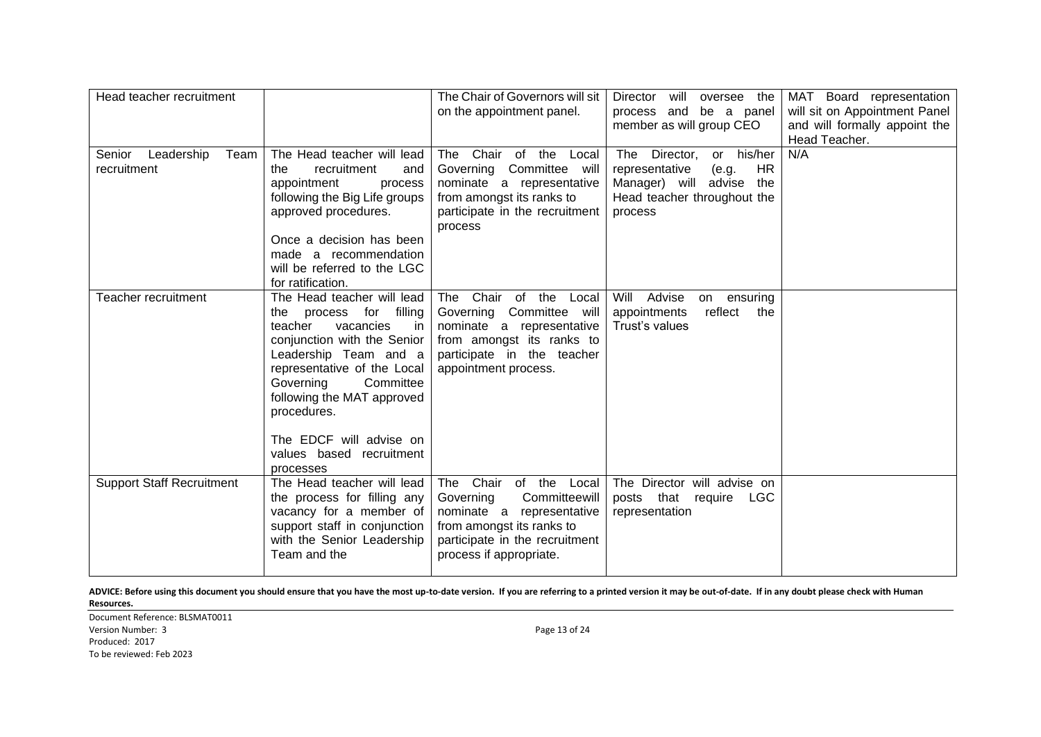| Head teacher recruitment                    |                                                                                                                                                                                                                                                                                                                       | The Chair of Governors will sit<br>on the appointment panel.                                                                                                                | Director<br>will oversee the<br>process and be a panel<br>member as will group CEO                                                           | MAT Board representation<br>will sit on Appointment Panel<br>and will formally appoint the<br>Head Teacher. |
|---------------------------------------------|-----------------------------------------------------------------------------------------------------------------------------------------------------------------------------------------------------------------------------------------------------------------------------------------------------------------------|-----------------------------------------------------------------------------------------------------------------------------------------------------------------------------|----------------------------------------------------------------------------------------------------------------------------------------------|-------------------------------------------------------------------------------------------------------------|
| Senior<br>Leadership<br>Team<br>recruitment | The Head teacher will lead<br>recruitment<br>the<br>and<br>appointment<br>process<br>following the Big Life groups<br>approved procedures.<br>Once a decision has been<br>made a recommendation<br>will be referred to the LGC<br>for ratification.                                                                   | Chair of<br>the<br>Local<br>The<br>Governing Committee will<br>nominate a representative<br>from amongst its ranks to<br>participate in the recruitment<br>process          | The Director,<br>or his/her<br><b>HR</b><br>representative<br>(e.g.<br>Manager) will advise<br>the<br>Head teacher throughout the<br>process | N/A                                                                                                         |
| Teacher recruitment                         | The Head teacher will lead<br>the process for filling<br>teacher<br>vacancies<br>in<br>conjunction with the Senior<br>Leadership Team and a<br>representative of the Local<br>Governing<br>Committee<br>following the MAT approved<br>procedures.<br>The EDCF will advise on<br>values based recruitment<br>processes | Chair of<br>the<br>The<br>Local<br>Governing Committee will<br>nominate a representative<br>from amongst its ranks to<br>participate in the teacher<br>appointment process. | Will<br>Advise<br>ensuring<br>on<br>appointments<br>reflect<br>the<br>Trust's values                                                         |                                                                                                             |
| <b>Support Staff Recruitment</b>            | The Head teacher will lead<br>the process for filling any<br>vacancy for a member of<br>support staff in conjunction<br>with the Senior Leadership<br>Team and the                                                                                                                                                    | The Chair of the Local<br>Governing<br>Committeewill<br>nominate a representative<br>from amongst its ranks to<br>participate in the recruitment<br>process if appropriate. | The Director will advise on<br>posts that require LGC<br>representation                                                                      |                                                                                                             |

Document Reference: BLSMAT0011 Version Number: 3 Page 13 of 24 Produced: 2017 To be reviewed: Feb 2023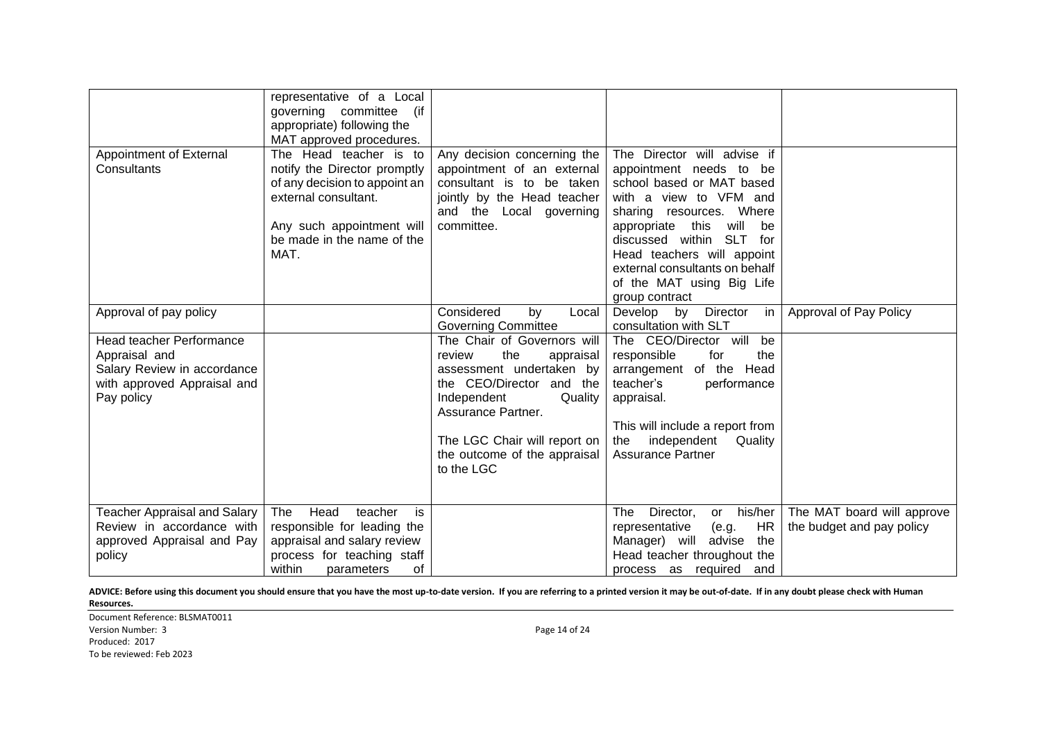|                                                                                                                       | representative of a Local<br>governing committee<br>(if<br>appropriate) following the<br>MAT approved procedures.                                                                  |                                                                                                                                                                                                                                                    |                                                                                                                                                                                                                                                                                                                                        |                                                         |
|-----------------------------------------------------------------------------------------------------------------------|------------------------------------------------------------------------------------------------------------------------------------------------------------------------------------|----------------------------------------------------------------------------------------------------------------------------------------------------------------------------------------------------------------------------------------------------|----------------------------------------------------------------------------------------------------------------------------------------------------------------------------------------------------------------------------------------------------------------------------------------------------------------------------------------|---------------------------------------------------------|
| Appointment of External<br>Consultants                                                                                | The Head teacher is to<br>notify the Director promptly<br>of any decision to appoint an<br>external consultant.<br>Any such appointment will<br>be made in the name of the<br>MAT. | Any decision concerning the<br>appointment of an external<br>consultant is to be taken<br>jointly by the Head teacher<br>and the Local governing<br>committee.                                                                                     | The Director will advise if<br>appointment needs to be<br>school based or MAT based<br>with a view to VFM and<br>sharing resources. Where<br>this<br>appropriate<br>will<br>be<br><b>SLT</b><br>discussed within<br>for<br>Head teachers will appoint<br>external consultants on behalf<br>of the MAT using Big Life<br>group contract |                                                         |
| Approval of pay policy                                                                                                |                                                                                                                                                                                    | Considered<br>by<br>Local<br><b>Governing Committee</b>                                                                                                                                                                                            | Develop<br>Director<br>by<br>in<br>consultation with SLT                                                                                                                                                                                                                                                                               | Approval of Pay Policy                                  |
| Head teacher Performance<br>Appraisal and<br>Salary Review in accordance<br>with approved Appraisal and<br>Pay policy |                                                                                                                                                                                    | The Chair of Governors will<br>review<br>the<br>appraisal<br>assessment undertaken by<br>the CEO/Director and<br>the<br>Independent<br>Quality<br>Assurance Partner.<br>The LGC Chair will report on<br>the outcome of the appraisal<br>to the LGC | The CEO/Director will<br>be<br>the<br>responsible<br>for<br>arrangement of the Head<br>teacher's<br>performance<br>appraisal.<br>This will include a report from<br>independent<br>the<br>Quality<br><b>Assurance Partner</b>                                                                                                          |                                                         |
| <b>Teacher Appraisal and Salary</b><br>Review in accordance with<br>approved Appraisal and Pay<br>policy              | The<br>Head<br>teacher<br>is<br>responsible for leading the<br>appraisal and salary review<br>process for teaching staff<br>within<br>parameters<br>of                             |                                                                                                                                                                                                                                                    | his/her<br>The<br>Director,<br>or<br><b>HR</b><br>representative<br>(e.g.<br>Manager) will<br>advise<br>the<br>Head teacher throughout the<br>process as required and                                                                                                                                                                  | The MAT board will approve<br>the budget and pay policy |

Document Reference: BLSMAT0011 Version Number: 3 Page 14 of 24 Produced: 2017 To be reviewed: Feb 2023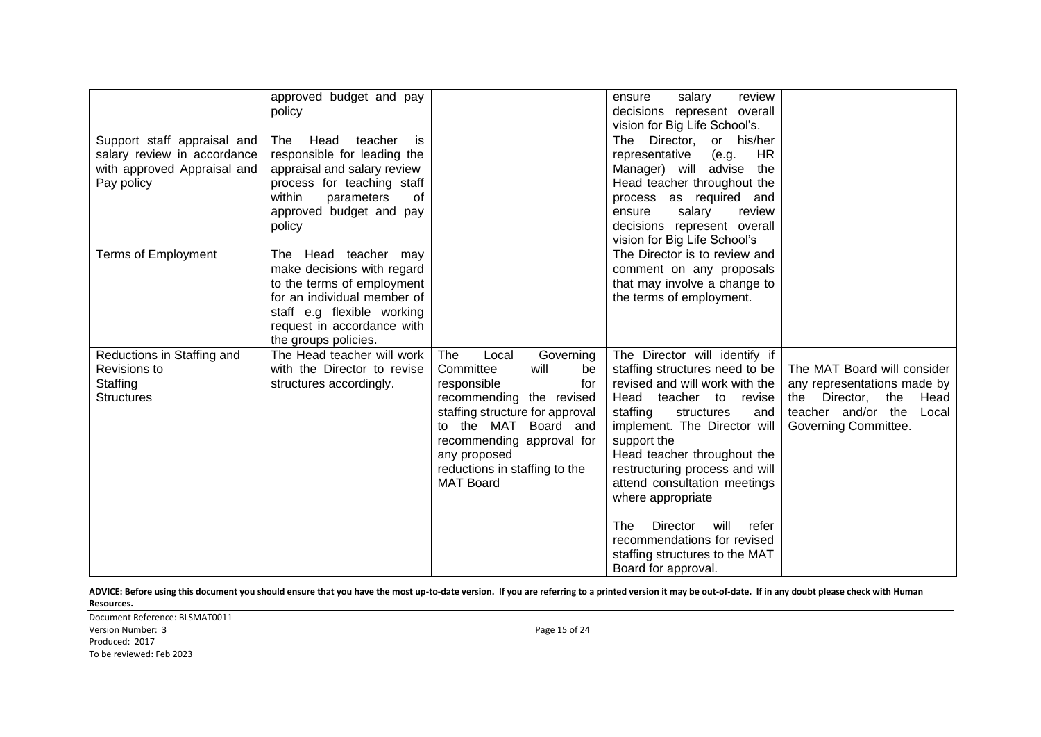|                                                                                                         | approved budget and pay<br>policy                                                                                                                                                                   |                                                                                                                                                                                                                                                                     | review<br>salary<br>ensure<br>decisions represent overall<br>vision for Big Life School's.                                                                                                                                                                                                                                                                                                                                                                           |                                                                                                                                                   |
|---------------------------------------------------------------------------------------------------------|-----------------------------------------------------------------------------------------------------------------------------------------------------------------------------------------------------|---------------------------------------------------------------------------------------------------------------------------------------------------------------------------------------------------------------------------------------------------------------------|----------------------------------------------------------------------------------------------------------------------------------------------------------------------------------------------------------------------------------------------------------------------------------------------------------------------------------------------------------------------------------------------------------------------------------------------------------------------|---------------------------------------------------------------------------------------------------------------------------------------------------|
| Support staff appraisal and<br>salary review in accordance<br>with approved Appraisal and<br>Pay policy | Head<br>teacher<br>is<br>The<br>responsible for leading the<br>appraisal and salary review<br>process for teaching staff<br>within<br>parameters<br>of<br>approved budget and pay<br>policy         |                                                                                                                                                                                                                                                                     | Director,<br>or his/her<br>The<br>representative<br>(e.g.<br>HR.<br>Manager) will advise<br>the<br>Head teacher throughout the<br>process as required and<br>salary<br>review<br>ensure<br>decisions represent overall<br>vision for Big Life School's                                                                                                                                                                                                               |                                                                                                                                                   |
| Terms of Employment                                                                                     | The Head teacher may<br>make decisions with regard<br>to the terms of employment<br>for an individual member of<br>staff e.g flexible working<br>request in accordance with<br>the groups policies. |                                                                                                                                                                                                                                                                     | The Director is to review and<br>comment on any proposals<br>that may involve a change to<br>the terms of employment.                                                                                                                                                                                                                                                                                                                                                |                                                                                                                                                   |
| Reductions in Staffing and<br>Revisions to<br>Staffing<br><b>Structures</b>                             | The Head teacher will work<br>with the Director to revise<br>structures accordingly.                                                                                                                | Governing<br>The<br>Local<br>Committee<br>will<br>be<br>responsible<br>for<br>recommending the revised<br>staffing structure for approval<br>to the MAT Board and<br>recommending approval for<br>any proposed<br>reductions in staffing to the<br><b>MAT Board</b> | The Director will identify if<br>staffing structures need to be<br>revised and will work with the<br>Head teacher to revise<br>staffing<br>structures<br>and<br>implement. The Director will<br>support the<br>Head teacher throughout the<br>restructuring process and will<br>attend consultation meetings<br>where appropriate<br><b>The</b><br>Director<br>will<br>refer<br>recommendations for revised<br>staffing structures to the MAT<br>Board for approval. | The MAT Board will consider<br>any representations made by<br>the<br>the Director,<br>Head<br>teacher and/or the<br>Local<br>Governing Committee. |

Document Reference: BLSMAT0011 Version Number: 3 Page 15 of 24 Produced: 2017 To be reviewed: Feb 2023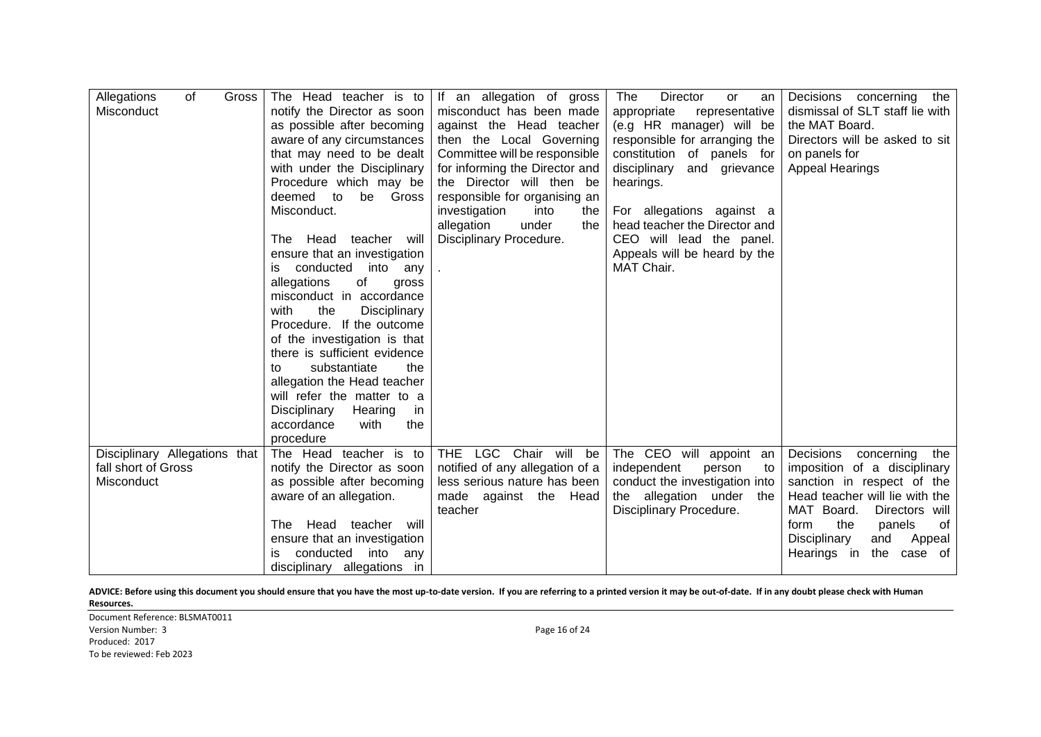| of<br>Allegations<br>Gross<br>Misconduct | The Head teacher is to<br>notify the Director as soon<br>as possible after becoming<br>aware of any circumstances<br>that may need to be dealt<br>with under the Disciplinary<br>Procedure which may be<br>deemed<br>to<br>be<br>Gross<br>Misconduct.<br>The Head teacher<br>will<br>ensure that an investigation<br>into<br>is conducted<br>anv<br>of<br>allegations<br>gross<br>misconduct in accordance | If an allegation of gross<br>misconduct has been made<br>against the Head teacher<br>then the Local Governing<br>Committee will be responsible<br>for informing the Director and<br>the Director will then be<br>responsible for organising an<br>investigation<br>into<br>the<br>allegation<br>under<br>the<br>Disciplinary Procedure. | The<br>Director<br>or<br>an<br>appropriate<br>representative<br>(e.g HR manager) will be<br>responsible for arranging the<br>constitution of panels for<br>disciplinary<br>and grievance<br>hearings.<br>For allegations against a<br>head teacher the Director and<br>CEO will lead the panel.<br>Appeals will be heard by the<br>MAT Chair. | Decisions concerning the<br>dismissal of SLT staff lie with<br>the MAT Board.<br>Directors will be asked to sit<br>on panels for<br><b>Appeal Hearings</b> |
|------------------------------------------|------------------------------------------------------------------------------------------------------------------------------------------------------------------------------------------------------------------------------------------------------------------------------------------------------------------------------------------------------------------------------------------------------------|-----------------------------------------------------------------------------------------------------------------------------------------------------------------------------------------------------------------------------------------------------------------------------------------------------------------------------------------|-----------------------------------------------------------------------------------------------------------------------------------------------------------------------------------------------------------------------------------------------------------------------------------------------------------------------------------------------|------------------------------------------------------------------------------------------------------------------------------------------------------------|
|                                          | the<br>with<br>Disciplinary<br>Procedure. If the outcome                                                                                                                                                                                                                                                                                                                                                   |                                                                                                                                                                                                                                                                                                                                         |                                                                                                                                                                                                                                                                                                                                               |                                                                                                                                                            |
|                                          | of the investigation is that<br>there is sufficient evidence<br>substantiate<br>the<br>to                                                                                                                                                                                                                                                                                                                  |                                                                                                                                                                                                                                                                                                                                         |                                                                                                                                                                                                                                                                                                                                               |                                                                                                                                                            |
|                                          | allegation the Head teacher<br>will refer the matter to a                                                                                                                                                                                                                                                                                                                                                  |                                                                                                                                                                                                                                                                                                                                         |                                                                                                                                                                                                                                                                                                                                               |                                                                                                                                                            |
|                                          | Disciplinary<br>Hearing<br>in<br>with<br>accordance<br>the<br>procedure                                                                                                                                                                                                                                                                                                                                    |                                                                                                                                                                                                                                                                                                                                         |                                                                                                                                                                                                                                                                                                                                               |                                                                                                                                                            |
| Disciplinary Allegations that            | The Head teacher is to                                                                                                                                                                                                                                                                                                                                                                                     | LGC Chair will be<br><b>THE</b>                                                                                                                                                                                                                                                                                                         | The CEO will appoint<br>an                                                                                                                                                                                                                                                                                                                    | Decisions<br>concerning<br>the                                                                                                                             |
| fall short of Gross<br>Misconduct        | notify the Director as soon<br>as possible after becoming                                                                                                                                                                                                                                                                                                                                                  | notified of any allegation of a<br>less serious nature has been                                                                                                                                                                                                                                                                         | independent<br>person<br>to<br>conduct the investigation into                                                                                                                                                                                                                                                                                 | imposition of a disciplinary<br>sanction in respect of the                                                                                                 |
|                                          | aware of an allegation.                                                                                                                                                                                                                                                                                                                                                                                    | made against the Head<br>teacher                                                                                                                                                                                                                                                                                                        | the allegation under the<br>Disciplinary Procedure.                                                                                                                                                                                                                                                                                           | Head teacher will lie with the<br>MAT Board.<br>Directors will                                                                                             |
|                                          | Head teacher will<br>The                                                                                                                                                                                                                                                                                                                                                                                   |                                                                                                                                                                                                                                                                                                                                         |                                                                                                                                                                                                                                                                                                                                               | the<br>form<br>panels<br>0f                                                                                                                                |
|                                          | ensure that an investigation                                                                                                                                                                                                                                                                                                                                                                               |                                                                                                                                                                                                                                                                                                                                         |                                                                                                                                                                                                                                                                                                                                               | Disciplinary<br>and<br>Appeal                                                                                                                              |
|                                          | conducted<br>into<br>is.<br>any<br>disciplinary allegations in                                                                                                                                                                                                                                                                                                                                             |                                                                                                                                                                                                                                                                                                                                         |                                                                                                                                                                                                                                                                                                                                               | the<br>Hearings in<br>of<br>case                                                                                                                           |

Document Reference: BLSMAT0011 Version Number: 3 Page 16 of 24 Produced: 2017 To be reviewed: Feb 2023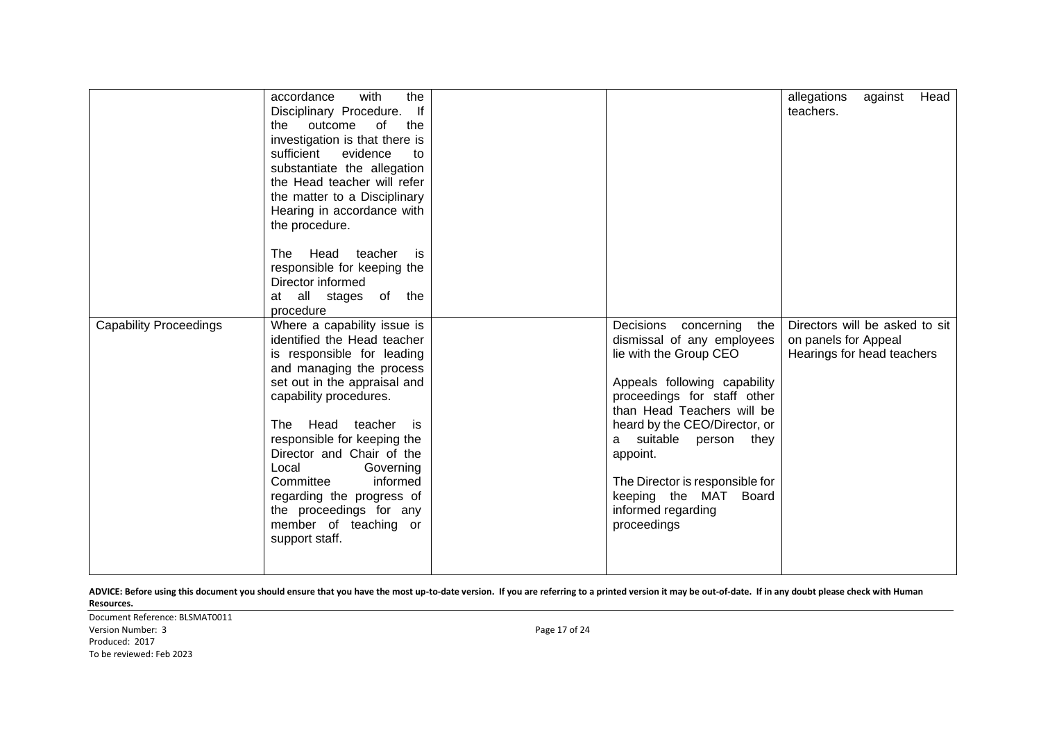|                               | with<br>accordance<br>the                                |                                 | allegations<br>against<br>Head |
|-------------------------------|----------------------------------------------------------|---------------------------------|--------------------------------|
|                               | Disciplinary Procedure. If                               |                                 | teachers.                      |
|                               | outcome<br>of<br>the<br>the                              |                                 |                                |
|                               | investigation is that there is                           |                                 |                                |
|                               | sufficient<br>evidence<br>to                             |                                 |                                |
|                               | substantiate the allegation                              |                                 |                                |
|                               | the Head teacher will refer                              |                                 |                                |
|                               | the matter to a Disciplinary                             |                                 |                                |
|                               | Hearing in accordance with                               |                                 |                                |
|                               | the procedure.                                           |                                 |                                |
|                               |                                                          |                                 |                                |
|                               | Head teacher is<br>The                                   |                                 |                                |
|                               | responsible for keeping the                              |                                 |                                |
|                               | Director informed                                        |                                 |                                |
|                               | at all stages of the                                     |                                 |                                |
|                               | procedure                                                |                                 |                                |
| <b>Capability Proceedings</b> | Where a capability issue is                              | Decisions concerning<br>the     | Directors will be asked to sit |
|                               | identified the Head teacher                              | dismissal of any employees      | on panels for Appeal           |
|                               | is responsible for leading                               | lie with the Group CEO          | Hearings for head teachers     |
|                               | and managing the process                                 |                                 |                                |
|                               | set out in the appraisal and                             | Appeals following capability    |                                |
|                               | capability procedures.                                   | proceedings for staff other     |                                |
|                               |                                                          | than Head Teachers will be      |                                |
|                               | Head teacher<br>The<br>is is                             | heard by the CEO/Director, or   |                                |
|                               | responsible for keeping the<br>Director and Chair of the | a suitable<br>person<br>they    |                                |
|                               | Local<br>Governing                                       | appoint.                        |                                |
|                               | Committee<br>informed                                    | The Director is responsible for |                                |
|                               | regarding the progress of                                | keeping the MAT Board           |                                |
|                               | the proceedings for any                                  | informed regarding              |                                |
|                               | member of teaching or                                    | proceedings                     |                                |
|                               | support staff.                                           |                                 |                                |
|                               |                                                          |                                 |                                |
|                               |                                                          |                                 |                                |

Document Reference: BLSMAT0011 Version Number: 3 Page 17 of 24 Produced: 2017 To be reviewed: Feb 2023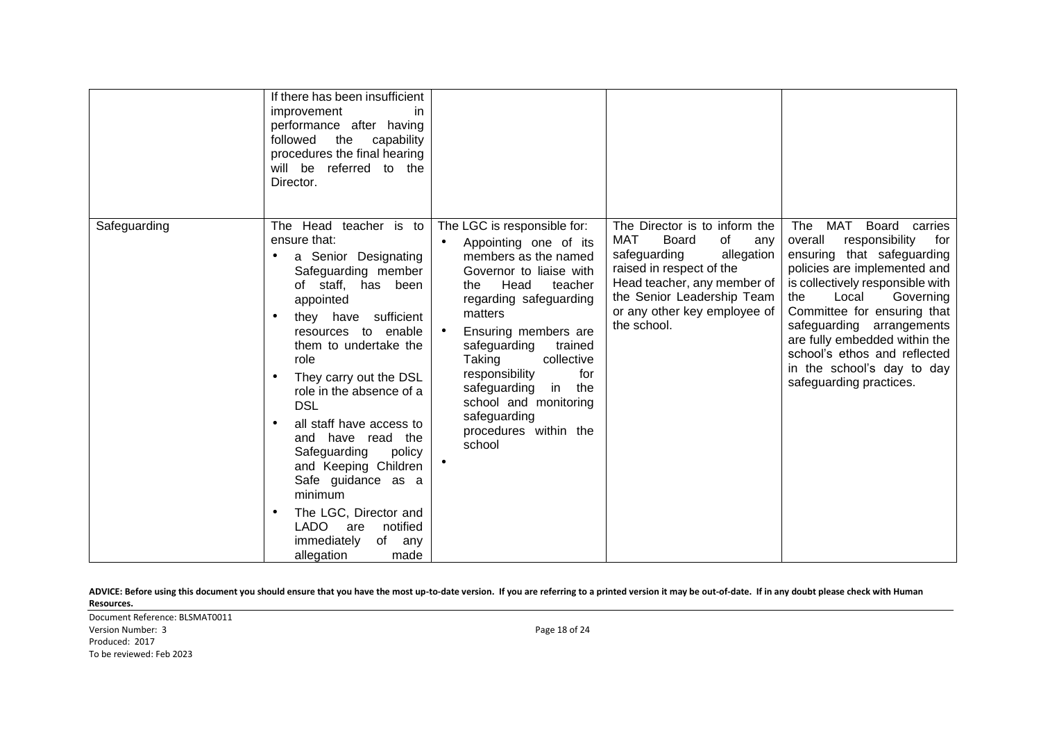|              | If there has been insufficient<br>improvement<br>in<br>performance after having<br>the<br>followed<br>capability<br>procedures the final hearing<br>will be referred to the<br>Director.                                                                                                                                                                                                                                                                                                                               |                                                                                                                                                                                                                                                                                                                                                                                            |                                                                                                                                                                                                                                  |                                                                                                                                                                                                                                                                                                                                                                                      |
|--------------|------------------------------------------------------------------------------------------------------------------------------------------------------------------------------------------------------------------------------------------------------------------------------------------------------------------------------------------------------------------------------------------------------------------------------------------------------------------------------------------------------------------------|--------------------------------------------------------------------------------------------------------------------------------------------------------------------------------------------------------------------------------------------------------------------------------------------------------------------------------------------------------------------------------------------|----------------------------------------------------------------------------------------------------------------------------------------------------------------------------------------------------------------------------------|--------------------------------------------------------------------------------------------------------------------------------------------------------------------------------------------------------------------------------------------------------------------------------------------------------------------------------------------------------------------------------------|
| Safeguarding | The Head teacher is to<br>ensure that:<br>a Senior Designating<br>Safeguarding member<br>of staff, has been<br>appointed<br>they have sufficient<br>resources to enable<br>them to undertake the<br>role<br>They carry out the DSL<br>role in the absence of a<br><b>DSL</b><br>all staff have access to<br>and have read the<br>Safeguarding<br>policy<br>and Keeping Children<br>Safe guidance as a<br>minimum<br>The LGC, Director and<br>LADO<br>notified<br>are<br>immediately<br>of<br>any<br>allegation<br>made | The LGC is responsible for:<br>Appointing one of its<br>$\bullet$<br>members as the named<br>Governor to liaise with<br>Head<br>teacher<br>the<br>regarding safeguarding<br>matters<br>Ensuring members are<br>safeguarding<br>trained<br>Taking<br>collective<br>for<br>responsibility<br>safeguarding in the<br>school and monitoring<br>safeguarding<br>procedures within the<br>school | The Director is to inform the<br>MAT<br>Board<br>of<br>any<br>safeguarding<br>allegation<br>raised in respect of the<br>Head teacher, any member of<br>the Senior Leadership Team<br>or any other key employee of<br>the school. | The<br>MAT<br>Board carries<br>responsibility<br>overall<br>for<br>ensuring that safeguarding<br>policies are implemented and<br>is collectively responsible with<br>Local<br>Governing<br>the<br>Committee for ensuring that<br>safeguarding arrangements<br>are fully embedded within the<br>school's ethos and reflected<br>in the school's day to day<br>safeguarding practices. |

Document Reference: BLSMAT0011 Version Number: 3 Page 18 of 24 Produced: 2017 To be reviewed: Feb 2023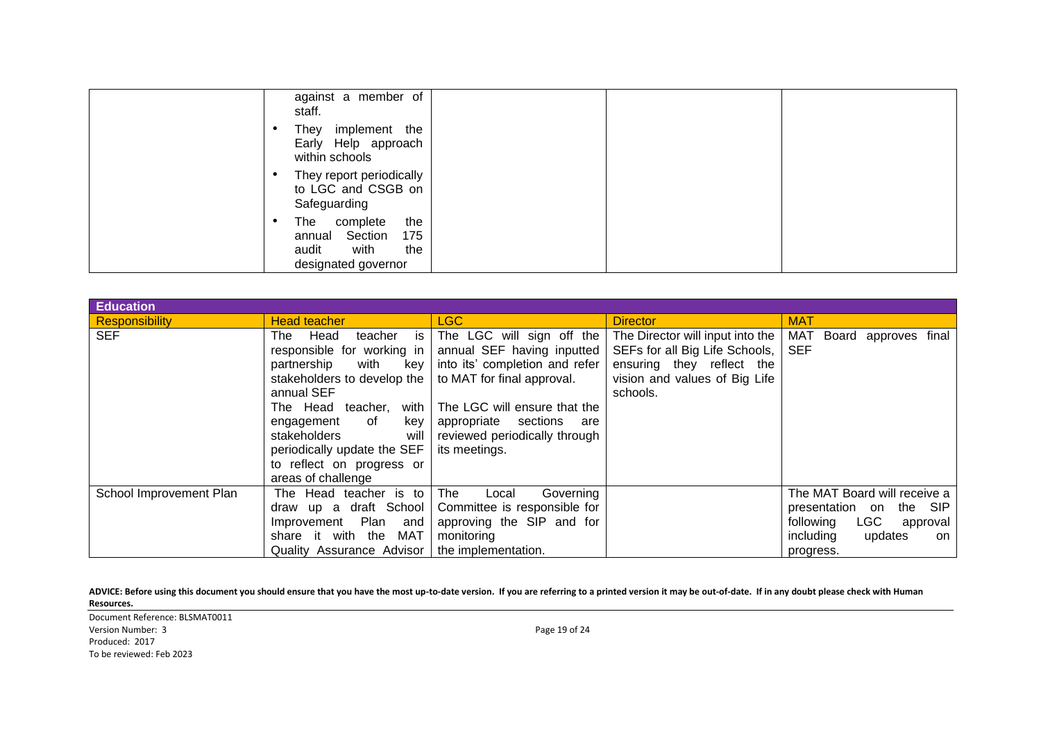| against a member of<br>staff.                                                                  |
|------------------------------------------------------------------------------------------------|
| They implement the<br>Early Help approach<br>within schools                                    |
| They report periodically<br>to LGC and CSGB on<br>Safeguarding                                 |
| the<br>The<br>complete<br>annual Section<br>175<br>audit<br>with<br>the<br>designated governor |

| <b>Education</b>        |                                                                                                                                                                                                                                                                                                             |                                                                                                                                                                                                                                             |                                                                                                                                              |                                                                                                                                              |  |
|-------------------------|-------------------------------------------------------------------------------------------------------------------------------------------------------------------------------------------------------------------------------------------------------------------------------------------------------------|---------------------------------------------------------------------------------------------------------------------------------------------------------------------------------------------------------------------------------------------|----------------------------------------------------------------------------------------------------------------------------------------------|----------------------------------------------------------------------------------------------------------------------------------------------|--|
| <b>Responsibility</b>   | <b>Head teacher</b>                                                                                                                                                                                                                                                                                         | LGC                                                                                                                                                                                                                                         | <b>Director</b>                                                                                                                              | <b>MAT</b>                                                                                                                                   |  |
| <b>SEF</b>              | Head<br>is<br>teacher<br>The<br>responsible for working in<br>with<br>partnership<br>kev<br>stakeholders to develop the<br>annual SEF<br>The Head teacher,<br>with  <br>engagement<br>of<br>key<br>stakeholders<br>will I<br>periodically update the SEF<br>to reflect on progress or<br>areas of challenge | The LGC will sign off the<br>annual SEF having inputted<br>into its' completion and refer<br>to MAT for final approval.<br>The LGC will ensure that the<br>appropriate<br>sections<br>are<br>reviewed periodically through<br>its meetings. | The Director will input into the<br>SEFs for all Big Life Schools,<br>ensuring they reflect the<br>vision and values of Big Life<br>schools. | MAT Board<br>approves final<br><b>SEF</b>                                                                                                    |  |
| School Improvement Plan | The Head teacher is to<br>draw up a draft School<br>Plan<br>Improvement<br>and<br>share it with<br>the MAT<br>Quality Assurance Advisor   the implementation.                                                                                                                                               | The<br>Governing<br>Local<br>Committee is responsible for<br>approving the SIP and for<br>monitoring                                                                                                                                        |                                                                                                                                              | The MAT Board will receive a<br>presentation on<br>the SIP<br><b>LGC</b><br>following<br>approval<br>including<br>updates<br>on<br>progress. |  |

Document Reference: BLSMAT0011 Version Number: 3 Page 19 of 24 Produced: 2017 To be reviewed: Feb 2023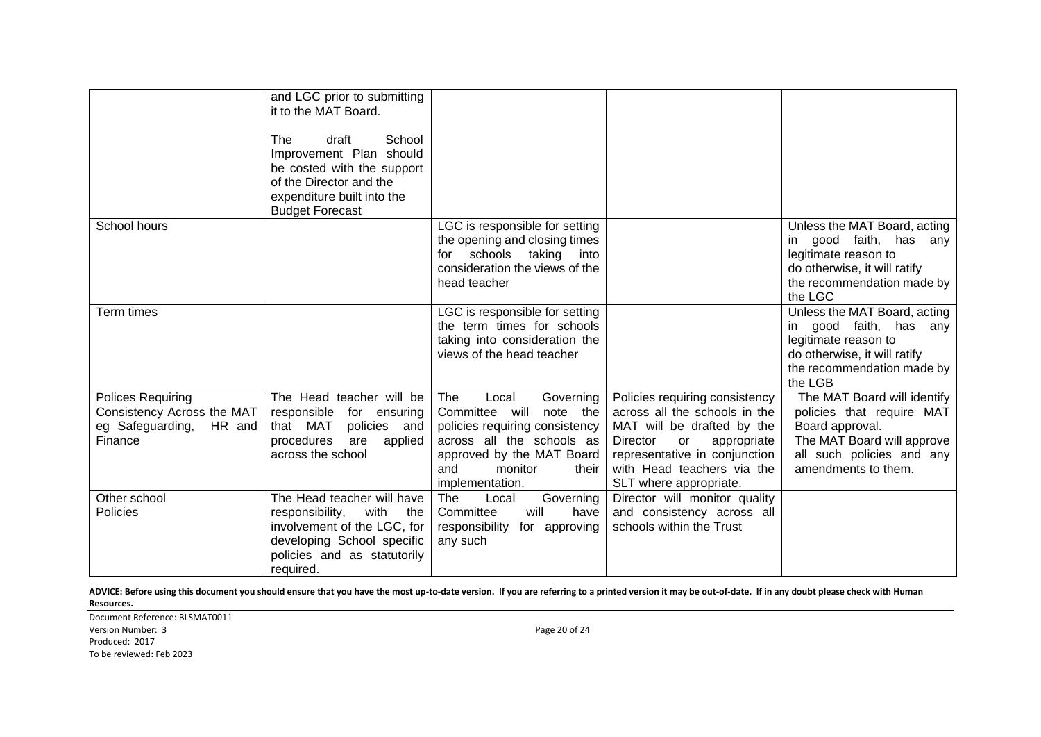|                                                                                       | and LGC prior to submitting<br>it to the MAT Board.<br>School<br>draft<br><b>The</b><br>Improvement Plan should<br>be costed with the support<br>of the Director and the<br>expenditure built into the<br><b>Budget Forecast</b> |                                                                                                                                                                                                |                                                                                                                                                                                                                         |                                                                                                                                                               |
|---------------------------------------------------------------------------------------|----------------------------------------------------------------------------------------------------------------------------------------------------------------------------------------------------------------------------------|------------------------------------------------------------------------------------------------------------------------------------------------------------------------------------------------|-------------------------------------------------------------------------------------------------------------------------------------------------------------------------------------------------------------------------|---------------------------------------------------------------------------------------------------------------------------------------------------------------|
| School hours                                                                          |                                                                                                                                                                                                                                  | LGC is responsible for setting<br>the opening and closing times<br>schools taking into<br>for<br>consideration the views of the<br>head teacher                                                |                                                                                                                                                                                                                         | Unless the MAT Board, acting<br>in good faith, has any<br>legitimate reason to<br>do otherwise, it will ratify<br>the recommendation made by<br>the LGC       |
| Term times                                                                            |                                                                                                                                                                                                                                  | LGC is responsible for setting<br>the term times for schools<br>taking into consideration the<br>views of the head teacher                                                                     |                                                                                                                                                                                                                         | Unless the MAT Board, acting<br>in good faith, has any<br>legitimate reason to<br>do otherwise, it will ratify<br>the recommendation made by<br>the LGB       |
| Polices Requiring<br>Consistency Across the MAT<br>eg Safeguarding, HR and<br>Finance | The Head teacher will be<br>responsible for ensuring<br>that MAT<br>policies and<br>procedures<br>are applied<br>across the school                                                                                               | Local<br>Governing<br>The<br>Committee will note the<br>policies requiring consistency<br>across all the schools as<br>approved by the MAT Board<br>and<br>monitor<br>their<br>implementation. | Policies requiring consistency<br>across all the schools in the<br>MAT will be drafted by the<br>appropriate<br>Director<br>or<br>representative in conjunction<br>with Head teachers via the<br>SLT where appropriate. | The MAT Board will identify<br>policies that require MAT<br>Board approval.<br>The MAT Board will approve<br>all such policies and any<br>amendments to them. |
| Other school<br><b>Policies</b>                                                       | The Head teacher will have<br>responsibility,<br>with<br>the<br>involvement of the LGC, for<br>developing School specific<br>policies and as statutorily<br>required.                                                            | The<br>Governing<br>Local<br>will<br>Committee<br>have<br>responsibility for approving<br>any such                                                                                             | Director will monitor quality<br>and consistency across all<br>schools within the Trust                                                                                                                                 |                                                                                                                                                               |

Document Reference: BLSMAT0011 Version Number: 3 Page 20 of 24 Produced: 2017 To be reviewed: Feb 2023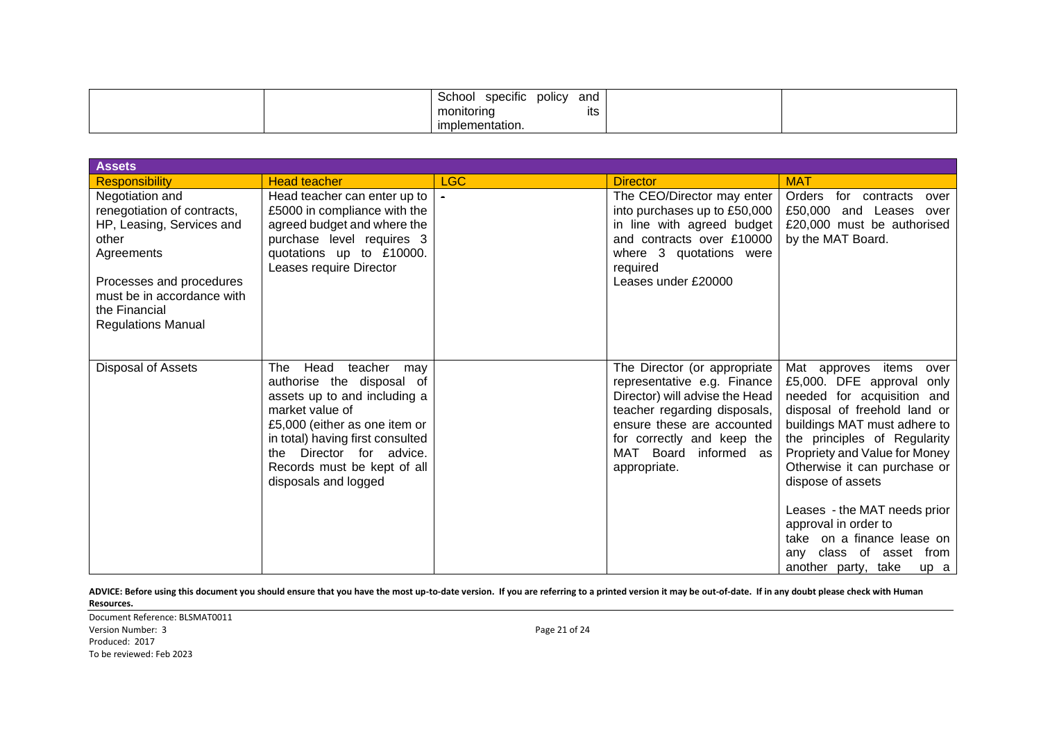| .<br>and<br>specific<br><b>DOIICV</b><br>School<br>monitoring<br>ıts |  |
|----------------------------------------------------------------------|--|
| implementation.                                                      |  |

| <b>Assets</b>                                                                                                                                                                                              |                                                                                                                                                                                                                                                                       |            |                                                                                                                                                                                                                                    |                                                                                                                                                                                                                                                                                                                                                                                                                             |
|------------------------------------------------------------------------------------------------------------------------------------------------------------------------------------------------------------|-----------------------------------------------------------------------------------------------------------------------------------------------------------------------------------------------------------------------------------------------------------------------|------------|------------------------------------------------------------------------------------------------------------------------------------------------------------------------------------------------------------------------------------|-----------------------------------------------------------------------------------------------------------------------------------------------------------------------------------------------------------------------------------------------------------------------------------------------------------------------------------------------------------------------------------------------------------------------------|
| <b>Responsibility</b>                                                                                                                                                                                      | <b>Head teacher</b>                                                                                                                                                                                                                                                   | <b>LGC</b> | <b>Director</b>                                                                                                                                                                                                                    | <b>MAT</b>                                                                                                                                                                                                                                                                                                                                                                                                                  |
| Negotiation and<br>renegotiation of contracts,<br>HP, Leasing, Services and<br>other<br>Agreements<br>Processes and procedures<br>must be in accordance with<br>the Financial<br><b>Regulations Manual</b> | Head teacher can enter up to<br>£5000 in compliance with the<br>agreed budget and where the<br>purchase level requires 3<br>quotations up to £10000.<br>Leases require Director                                                                                       | $\sim$     | The CEO/Director may enter<br>into purchases up to £50,000<br>in line with agreed budget<br>and contracts over £10000<br>where 3 quotations were<br>required<br>Leases under £20000                                                | Orders<br>for contracts<br>over<br>£50,000<br>and Leases over<br>£20,000 must be authorised<br>by the MAT Board.                                                                                                                                                                                                                                                                                                            |
| <b>Disposal of Assets</b>                                                                                                                                                                                  | The<br>Head<br>teacher<br>may<br>authorise the disposal of<br>assets up to and including a<br>market value of<br>£5,000 (either as one item or<br>in total) having first consulted<br>the Director for advice.<br>Records must be kept of all<br>disposals and logged |            | The Director (or appropriate<br>representative e.g. Finance<br>Director) will advise the Head<br>teacher regarding disposals,<br>ensure these are accounted<br>for correctly and keep the<br>MAT Board informed as<br>appropriate. | Mat approves items<br>over<br>£5,000. DFE approval only<br>needed for acquisition and<br>disposal of freehold land or<br>buildings MAT must adhere to<br>the principles of Regularity<br>Propriety and Value for Money<br>Otherwise it can purchase or<br>dispose of assets<br>Leases - the MAT needs prior<br>approval in order to<br>take on a finance lease on<br>any class of asset from<br>another party, take<br>up a |

Document Reference: BLSMAT0011 Version Number: 3 Page 21 of 24 Produced: 2017 To be reviewed: Feb 2023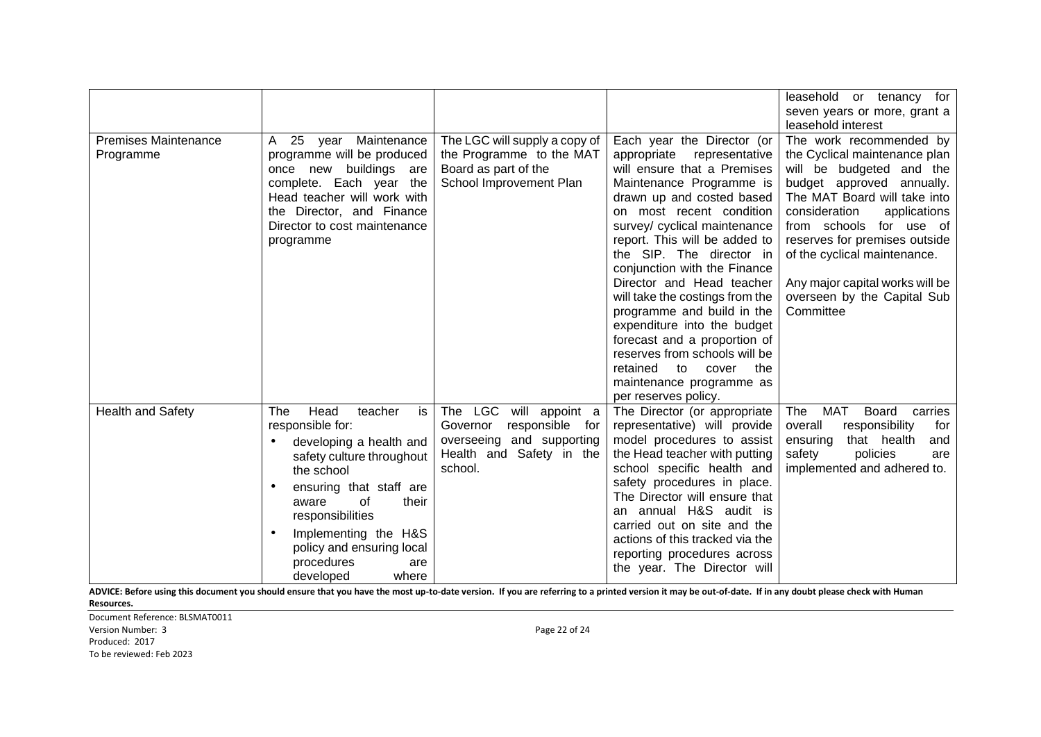|                                          |                                                                                                                                                                                                                                                                                               |                                                                                                                                 |                                                                                                                                                                                                                                                                                                                                                                                                                                                                                                                                                                                                  | leasehold or tenancy for<br>seven years or more, grant a<br>leasehold interest                                                                                                                                                                                                                                                                                |
|------------------------------------------|-----------------------------------------------------------------------------------------------------------------------------------------------------------------------------------------------------------------------------------------------------------------------------------------------|---------------------------------------------------------------------------------------------------------------------------------|--------------------------------------------------------------------------------------------------------------------------------------------------------------------------------------------------------------------------------------------------------------------------------------------------------------------------------------------------------------------------------------------------------------------------------------------------------------------------------------------------------------------------------------------------------------------------------------------------|---------------------------------------------------------------------------------------------------------------------------------------------------------------------------------------------------------------------------------------------------------------------------------------------------------------------------------------------------------------|
| <b>Premises Maintenance</b><br>Programme | A 25 year Maintenance<br>programme will be produced<br>once new<br>buildings<br>are<br>complete. Each year the<br>Head teacher will work with<br>the Director, and Finance<br>Director to cost maintenance<br>programme                                                                       | The LGC will supply a copy of<br>the Programme to the MAT<br>Board as part of the<br>School Improvement Plan                    | Each year the Director (or<br>appropriate<br>representative<br>will ensure that a Premises<br>Maintenance Programme is<br>drawn up and costed based<br>on most recent condition<br>survey/ cyclical maintenance<br>report. This will be added to<br>the SIP. The director in<br>conjunction with the Finance<br>Director and Head teacher<br>will take the costings from the<br>programme and build in the<br>expenditure into the budget<br>forecast and a proportion of<br>reserves from schools will be<br>retained<br>the<br>to<br>cover<br>maintenance programme as<br>per reserves policy. | The work recommended by<br>the Cyclical maintenance plan<br>will be budgeted and the<br>budget approved annually.<br>The MAT Board will take into<br>consideration<br>applications<br>from schools for use of<br>reserves for premises outside<br>of the cyclical maintenance.<br>Any major capital works will be<br>overseen by the Capital Sub<br>Committee |
| <b>Health and Safety</b>                 | Head<br>is<br>The<br>teacher<br>responsible for:<br>developing a health and<br>safety culture throughout<br>the school<br>ensuring that staff are<br>of<br>their<br>aware<br>responsibilities<br>Implementing the H&S<br>policy and ensuring local<br>procedures<br>are<br>developed<br>where | The LGC<br>will appoint a<br>responsible<br>Governor<br>for<br>overseeing and supporting<br>Health and Safety in the<br>school. | The Director (or appropriate<br>representative) will provide<br>model procedures to assist<br>the Head teacher with putting<br>school specific health and<br>safety procedures in place.<br>The Director will ensure that<br>an annual H&S audit is<br>carried out on site and the<br>actions of this tracked via the<br>reporting procedures across<br>the year. The Director will                                                                                                                                                                                                              | MAT<br>Board<br>carries<br>The<br>responsibility<br>overall<br>for<br>ensuring<br>that health<br>and<br>safety<br>policies<br>are<br>implemented and adhered to.                                                                                                                                                                                              |

Document Reference: BLSMAT0011 Version Number: 3 Page 22 of 24 Produced: 2017 To be reviewed: Feb 2023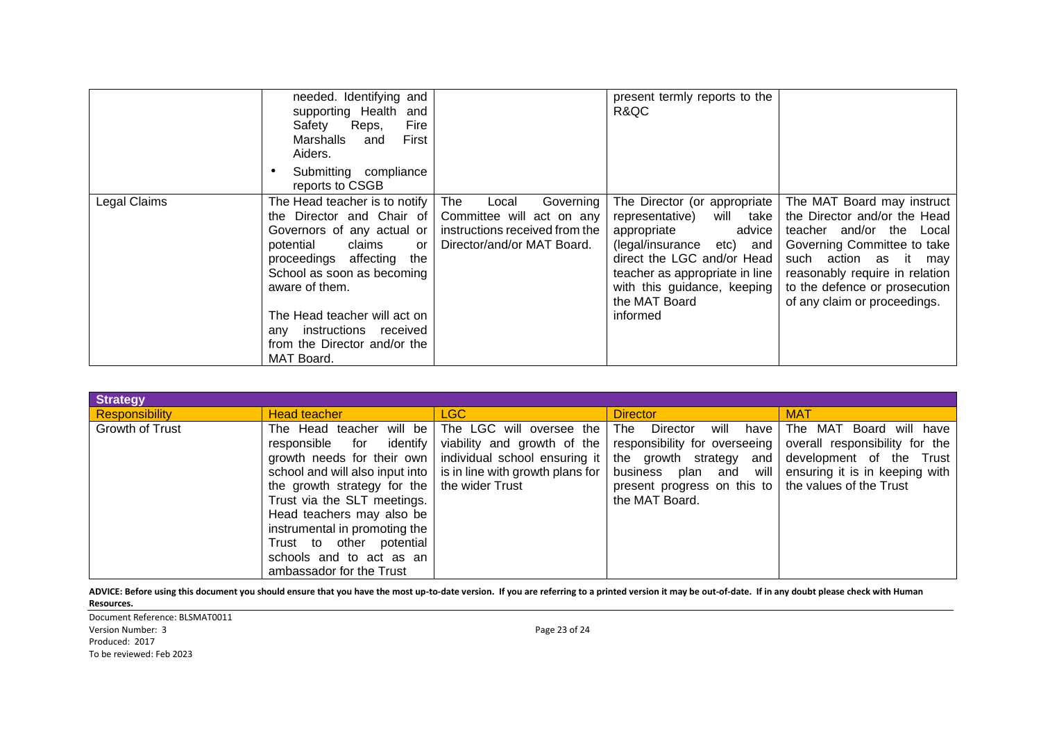|              | needed. Identifying and<br>supporting Health<br>and<br>Safety<br>Reps,<br>Fire<br>First<br>Marshalls<br>and<br>Aiders.<br>Submitting compliance<br>reports to CSGB                                                                                                                                               |                                                                                                                        | present termly reports to the<br>R&QC                                                                                                                                                                                                            |                                                                                                                                                                                                                                                   |
|--------------|------------------------------------------------------------------------------------------------------------------------------------------------------------------------------------------------------------------------------------------------------------------------------------------------------------------|------------------------------------------------------------------------------------------------------------------------|--------------------------------------------------------------------------------------------------------------------------------------------------------------------------------------------------------------------------------------------------|---------------------------------------------------------------------------------------------------------------------------------------------------------------------------------------------------------------------------------------------------|
| Legal Claims | The Head teacher is to notify<br>the Director and Chair of<br>Governors of any actual or<br>claims<br>potential<br>or<br>proceedings affecting<br>the<br>School as soon as becoming<br>aware of them.<br>The Head teacher will act on<br>any instructions received<br>from the Director and/or the<br>MAT Board. | Governing<br>The<br>Local<br>Committee will act on any<br>instructions received from the<br>Director/and/or MAT Board. | The Director (or appropriate  <br>will take<br>representative)<br>appropriate<br>advice<br>(legal/insurance etc) and<br>direct the LGC and/or Head<br>teacher as appropriate in line<br>with this guidance, keeping<br>the MAT Board<br>informed | The MAT Board may instruct<br>the Director and/or the Head<br>teacher and/or the Local<br>Governing Committee to take<br>such action as it may<br>reasonably require in relation<br>to the defence or prosecution<br>of any claim or proceedings. |

| <b>Strategy</b>       |                                                                                                                                                                                                                                                                                                 |                                                                                                                                     |                                                                                                                         |                                                                                                                                                                                                                                                                       |
|-----------------------|-------------------------------------------------------------------------------------------------------------------------------------------------------------------------------------------------------------------------------------------------------------------------------------------------|-------------------------------------------------------------------------------------------------------------------------------------|-------------------------------------------------------------------------------------------------------------------------|-----------------------------------------------------------------------------------------------------------------------------------------------------------------------------------------------------------------------------------------------------------------------|
| <b>Responsibility</b> | <b>Head teacher</b>                                                                                                                                                                                                                                                                             | LGC                                                                                                                                 | <b>Director</b>                                                                                                         | <b>MAT</b>                                                                                                                                                                                                                                                            |
| Growth of Trust       | The Head teacher will be<br>identify<br>responsible for<br>the growth strategy for the $\vert$ the wider Trust<br>Trust via the SLT meetings.<br>Head teachers may also be<br>instrumental in promoting the<br>Trust to other potential<br>schools and to act as an<br>ambassador for the Trust | The LGC will oversee the<br>viability and growth of the<br>school and will also input into $\vert$ is in line with growth plans for | Director<br><b>The</b><br>will<br>have<br>present progress on this to $\vert$ the values of the Trust<br>the MAT Board. | The MAT Board will have<br>responsibility for overseeing   overall responsibility for the<br>growth needs for their own   individual school ensuring it   the growth strategy and   development of the Trust<br>business plan and will ensuring it is in keeping with |

Document Reference: BLSMAT0011 Version Number: 3 Page 23 of 24 Produced: 2017 To be reviewed: Feb 2023